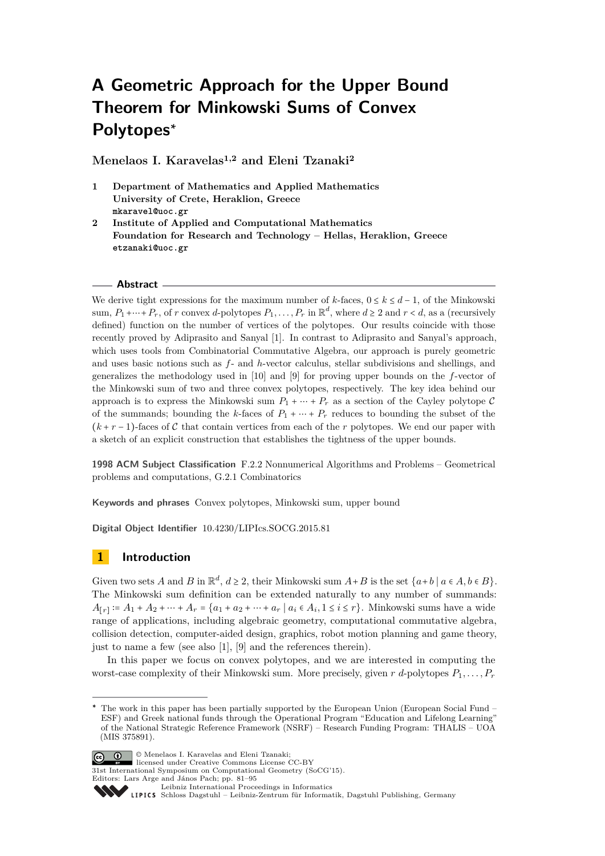# **A Geometric Approach for the Upper Bound Theorem for Minkowski Sums of Convex Polytopes<sup>∗</sup>**

**Menelaos I. Karavelas1,2 and Eleni Tzanaki<sup>2</sup>**

- **1 Department of Mathematics and Applied Mathematics University of Crete, Heraklion, Greece mkaravel@uoc.gr**
- **2 Institute of Applied and Computational Mathematics Foundation for Research and Technology – Hellas, Heraklion, Greece etzanaki@uoc.gr**

#### **Abstract**

We derive tight expressions for the maximum number of *k*-faces,  $0 \le k \le d - 1$ , of the Minkowski sum,  $P_1 + \cdots + P_r$ , of *r* convex *d*-polytopes  $P_1, \ldots, P_r$  in  $\mathbb{R}^d$ , where  $d \geq 2$  and  $r < d$ , as a (recursively defined) function on the number of vertices of the polytopes. Our results coincide with those recently proved by Adiprasito and Sanyal [\[1\]](#page-14-0). In contrast to Adiprasito and Sanyal's approach, which uses tools from Combinatorial Commutative Algebra, our approach is purely geometric and uses basic notions such as *f*- and *h*-vector calculus, stellar subdivisions and shellings, and generalizes the methodology used in [\[10\]](#page-14-1) and [\[9\]](#page-14-2) for proving upper bounds on the *f*-vector of the Minkowski sum of two and three convex polytopes, respectively. The key idea behind our approach is to express the Minkowski sum  $P_1 + \cdots + P_r$  as a section of the Cayley polytope C of the summands; bounding the *k*-faces of  $P_1 + \cdots + P_r$  reduces to bounding the subset of the  $(k + r - 1)$ -faces of C that contain vertices from each of the r polytopes. We end our paper with a sketch of an explicit construction that establishes the tightness of the upper bounds.

**1998 ACM Subject Classification** F.2.2 Nonnumerical Algorithms and Problems – Geometrical problems and computations, G.2.1 Combinatorics

**Keywords and phrases** Convex polytopes, Minkowski sum, upper bound

**Digital Object Identifier** [10.4230/LIPIcs.SOCG.2015.81](http://dx.doi.org/10.4230/LIPIcs.SOCG.2015.81)

# **1 Introduction**

Given two sets *A* and *B* in  $\mathbb{R}^d$ ,  $d \geq 2$ , their Minkowski sum  $A + B$  is the set  $\{a + b \mid a \in A, b \in B\}$ . The Minkowski sum definition can be extended naturally to any number of summands: *A*<sub>[*r*]</sub> := *A*<sub>1</sub> + *A*<sub>2</sub> + ⋯ + *A<sub>r</sub>* = {*a*<sub>1</sub> + *a*<sub>2</sub> + ⋯ + *a<sub>r</sub>* | *a<sub>i</sub>* ∈ *A<sub>i</sub>*, 1 ≤ *i* ≤ *r*}. Minkowski sums have a wide range of applications, including algebraic geometry, computational commutative algebra, collision detection, computer-aided design, graphics, robot motion planning and game theory, just to name a few (see also [\[1\]](#page-14-0), [\[9\]](#page-14-2) and the references therein).

In this paper we focus on convex polytopes, and we are interested in computing the worst-case complexity of their Minkowski sum. More precisely, given *r d*-polytopes *P*1*, . . . , P<sup>r</sup>*

© Menelaos I. Karavelas and Eleni Tzanaki; licensed under Creative Commons License CC-BY

31st International Symposium on Computational Geometry (SoCG'15).

The work in this paper has been partially supported by the European Union (European Social Fund – ESF) and Greek national funds through the Operational Program "Education and Lifelong Learning" of the National Strategic Reference Framework (NSRF) – Research Funding Program: THALIS – UOA (MIS 375891).

Editors: Lars Arge and János Pach; pp. 81[–95](#page-14-3)

[Leibniz International Proceedings in Informatics](http://www.dagstuhl.de/lipics/)

Leibniz international Floretungs in missimosische Publishing, Germany<br>LIPICS [Schloss Dagstuhl – Leibniz-Zentrum für Informatik, Dagstuhl Publishing, Germany](http://www.dagstuhl.de)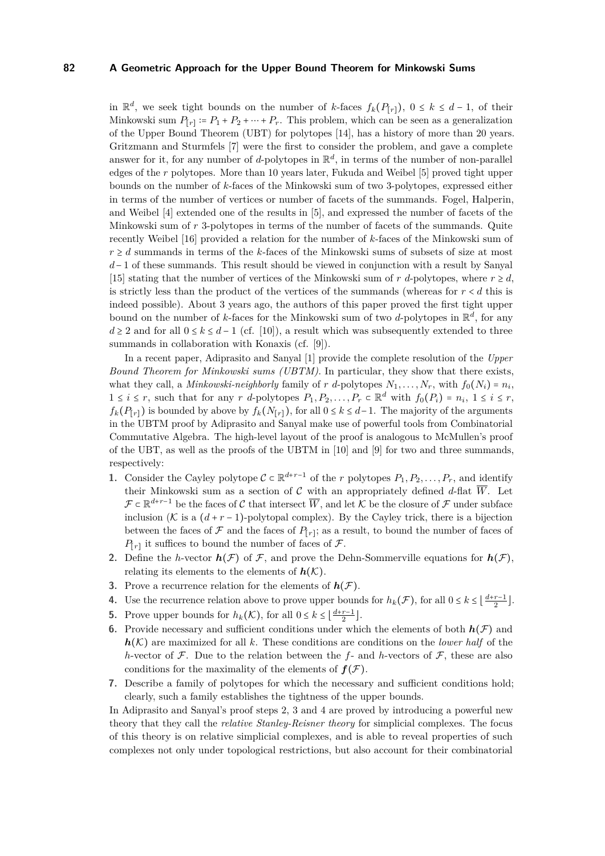in  $\mathbb{R}^d$ , we seek tight bounds on the number of *k*-faces  $f_k(P_{[r]})$ , 0 ≤ *k* ≤ *d* − 1, of their Minkowski sum  $P_{[r]} \coloneqq P_1 + P_2 + \cdots + P_r$ . This problem, which can be seen as a generalization of the Upper Bound Theorem (UBT) for polytopes [\[14\]](#page-14-4), has a history of more than 20 years. Gritzmann and Sturmfels [\[7\]](#page-14-5) were the first to consider the problem, and gave a complete answer for it, for any number of *d*-polytopes in  $\mathbb{R}^d$ , in terms of the number of non-parallel edges of the *r* polytopes. More than 10 years later, Fukuda and Weibel [\[5\]](#page-14-6) proved tight upper bounds on the number of *k*-faces of the Minkowski sum of two 3-polytopes, expressed either in terms of the number of vertices or number of facets of the summands. Fogel, Halperin, and Weibel [\[4\]](#page-14-7) extended one of the results in [\[5\]](#page-14-6), and expressed the number of facets of the Minkowski sum of *r* 3-polytopes in terms of the number of facets of the summands. Quite recently Weibel [\[16\]](#page-14-8) provided a relation for the number of *k*-faces of the Minkowski sum of  $r \geq d$  summands in terms of the *k*-faces of the Minkowski sums of subsets of size at most *d* − 1 of these summands. This result should be viewed in conjunction with a result by Sanyal [\[15\]](#page-14-9) stating that the number of vertices of the Minkowski sum of *r* d-polytopes, where  $r \geq d$ , is strictly less than the product of the vertices of the summands (whereas for  $r < d$  this is indeed possible). About 3 years ago, the authors of this paper proved the first tight upper bound on the number of *k*-faces for the Minkowski sum of two *d*-polytopes in R *d* , for any *d* ≥ 2 and for all  $0 \le k \le d - 1$  (cf. [\[10\]](#page-14-1)), a result which was subsequently extended to three summands in collaboration with Konaxis (cf. [\[9\]](#page-14-2)).

In a recent paper, Adiprasito and Sanyal [\[1\]](#page-14-0) provide the complete resolution of the *Upper Bound Theorem for Minkowski sums (UBTM)*. In particular, they show that there exists, what they call, a *Minkowski-neighborly* family of *r d*-polytopes  $N_1, \ldots, N_r$ , with  $f_0(N_i) = n_i$ ,  $1 \leq i \leq r$ , such that for any *r* d-polytopes  $P_1, P_2, \ldots, P_r \subset \mathbb{R}^d$  with  $f_0(P_i) = n_i, 1 \leq i \leq r$ ,  $f_k(P_{[r]})$  is bounded by above by  $f_k(N_{[r]})$ , for all  $0 \le k \le d-1$ . The majority of the arguments in the UBTM proof by Adiprasito and Sanyal make use of powerful tools from Combinatorial Commutative Algebra. The high-level layout of the proof is analogous to McMullen's proof of the UBT, as well as the proofs of the UBTM in [\[10\]](#page-14-1) and [\[9\]](#page-14-2) for two and three summands, respectively:

- **1.** Consider the Cayley polytope  $C \subset \mathbb{R}^{d+r-1}$  of the *r* polytopes  $P_1, P_2, \ldots, P_r$ , and identify their Minkowski sum as a section of  $\mathcal C$  with an appropriately defined  $d$ -flat  $\overline{W}$ . Let  $\mathcal{F} \subset \mathbb{R}^{d+r-1}$  be the faces of C that intersect  $\overline{W}$ , and let K be the closure of  $\mathcal{F}$  under subface inclusion ( $K$  is a  $(d + r - 1)$ -polytopal complex). By the Cayley trick, there is a bijection between the faces of  $\mathcal F$  and the faces of  $P_{[r]}$ ; as a result, to bound the number of faces of  $P_{[r]}$  it suffices to bound the number of faces of  $\mathcal{F}$ .
- <span id="page-1-0"></span>**2.** Define the *h*-vector  $h(\mathcal{F})$  of  $\mathcal{F}$ , and prove the Dehn-Sommerville equations for  $h(\mathcal{F})$ , relating its elements to the elements of  $h(K)$ .
- <span id="page-1-1"></span>**3.** Prove a recurrence relation for the elements of  $h(\mathcal{F})$ .
- <span id="page-1-2"></span>**4.** Use the recurrence relation above to prove upper bounds for  $h_k(\mathcal{F})$ , for all  $0 \leq k \leq \left\lfloor \frac{d+r-1}{2} \right\rfloor$ .
- <span id="page-1-3"></span>**5.** Prove upper bounds for  $h_k(\mathcal{K})$ , for all  $0 \leq k \leq \lfloor \frac{d+r-1}{2} \rfloor$ .
- <span id="page-1-4"></span>**6.** Provide necessary and sufficient conditions under which the elements of both  $h(\mathcal{F})$  and *h*(K) are maximized for all *k*. These conditions are conditions on the *lower half* of the *h*-vector of  $\mathcal F$ . Due to the relation between the *f*- and *h*-vectors of  $\mathcal F$ , these are also conditions for the maximality of the elements of  $f(\mathcal{F})$ .
- <span id="page-1-5"></span>**7.** Describe a family of polytopes for which the necessary and sufficient conditions hold; clearly, such a family establishes the tightness of the upper bounds.

In Adiprasito and Sanyal's proof steps [2,](#page-1-0) [3](#page-1-1) and [4](#page-1-2) are proved by introducing a powerful new theory that they call the *relative Stanley-Reisner theory* for simplicial complexes. The focus of this theory is on relative simplicial complexes, and is able to reveal properties of such complexes not only under topological restrictions, but also account for their combinatorial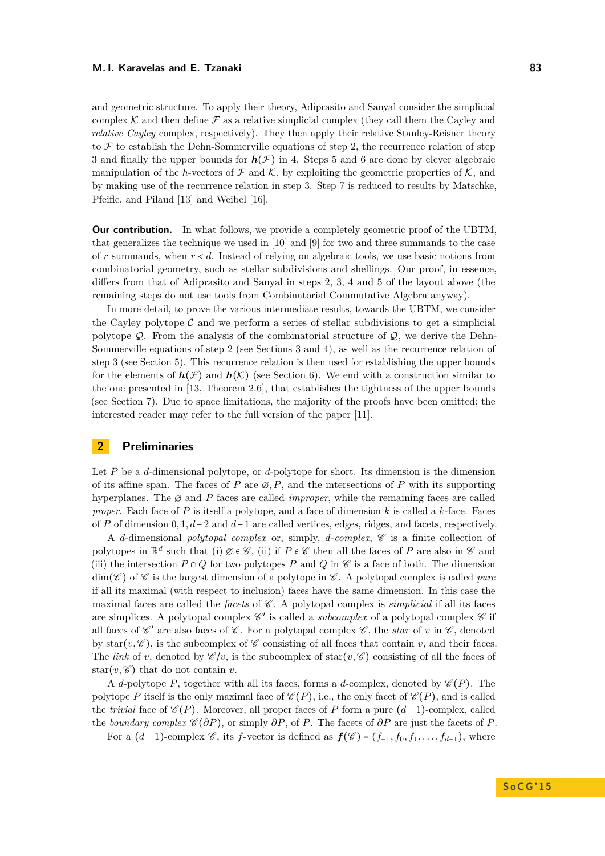and geometric structure. To apply their theory, Adiprasito and Sanyal consider the simplicial complex K and then define  $\mathcal F$  as a relative simplicial complex (they call them the Cayley and *relative Cayley* complex, respectively). They then apply their relative Stanley-Reisner theory to  $\mathcal F$  to establish the Dehn-Sommerville equations of step [2,](#page-1-0) the recurrence relation of step [3](#page-1-1) and finally the upper bounds for  $h(\mathcal{F})$  in [4.](#page-1-2) Steps [5](#page-1-3) and [6](#page-1-4) are done by clever algebraic manipulation of the *h*-vectors of  $\mathcal F$  and  $\mathcal K$ , by exploiting the geometric properties of  $\mathcal K$ , and by making use of the recurrence relation in step [3.](#page-1-1) Step [7](#page-1-5) is reduced to results by Matschke, Pfeifle, and Pilaud [\[13\]](#page-14-10) and Weibel [\[16\]](#page-14-8).

**Our contribution.** In what follows, we provide a completely geometric proof of the UBTM. that generalizes the technique we used in [\[10\]](#page-14-1) and [\[9\]](#page-14-2) for two and three summands to the case of  $r$  summands, when  $r < d$ . Instead of relying on algebraic tools, we use basic notions from combinatorial geometry, such as stellar subdivisions and shellings. Our proof, in essence, differs from that of Adiprasito and Sanyal in steps [2,](#page-1-0) [3,](#page-1-1) [4](#page-1-2) and [5](#page-1-3) of the layout above (the remaining steps do not use tools from Combinatorial Commutative Algebra anyway).

In more detail, to prove the various intermediate results, towards the UBTM, we consider the Cayley polytope  $\mathcal C$  and we perform a series of stellar subdivisions to get a simplicial polytope  $\mathcal{Q}$ . From the analysis of the combinatorial structure of  $\mathcal{Q}$ , we derive the Dehn-Sommerville equations of step [2](#page-1-0) (see Sections [3](#page-5-0) and [4\)](#page-6-0), as well as the recurrence relation of step [3](#page-1-1) (see Section [5\)](#page-7-0). This recurrence relation is then used for establishing the upper bounds for the elements of  $h(\mathcal{F})$  and  $h(\mathcal{K})$  (see Section [6\)](#page-8-0). We end with a construction similar to the one presented in [\[13,](#page-14-10) Theorem 2.6], that establishes the tightness of the upper bounds (see Section [7\)](#page-11-0). Due to space limitations, the majority of the proofs have been omitted; the interested reader may refer to the full version of the paper [\[11\]](#page-14-11).

## **2 Preliminaries**

Let *P* be a *d*-dimensional polytope, or *d*-polytope for short. Its dimension is the dimension of its affine span. The faces of *P* are  $\emptyset$ , *P*, and the intersections of *P* with its supporting hyperplanes. The ∅ and *P* faces are called *improper*, while the remaining faces are called *proper.* Each face of  $P$  is itself a polytope, and a face of dimension  $k$  is called a  $k$ -face. Faces of *P* of dimension 0*,* 1*, d*−2 and *d*−1 are called vertices, edges, ridges, and facets, respectively.

A *d*-dimensional *polytopal complex* or, simply, *d-complex*, C is a finite collection of polytopes in  $\mathbb{R}^d$  such that (i)  $\emptyset \in \mathscr{C}$ , (ii) if  $P \in \mathscr{C}$  then all the faces of  $P$  are also in  $\mathscr{C}$  and (iii) the intersection  $P \cap Q$  for two polytopes  $P$  and  $Q$  in  $\mathscr C$  is a face of both. The dimension  $\dim(\mathscr{C})$  of  $\mathscr{C}$  is the largest dimension of a polytope in  $\mathscr{C}$ . A polytopal complex is called *pure* if all its maximal (with respect to inclusion) faces have the same dimension. In this case the maximal faces are called the *facets* of  $\mathscr C$ . A polytopal complex is *simplicial* if all its faces are simplices. A polytopal complex  $\mathscr{C}'$  is called a *subcomplex* of a polytopal complex  $\mathscr{C}$  if all faces of  $\mathscr{C}'$  are also faces of  $\mathscr{C}$ . For a polytopal complex  $\mathscr{C}$ , the *star* of *v* in  $\mathscr{C}$ , denoted by star $(v, \mathscr{C})$ , is the subcomplex of  $\mathscr{C}$  consisting of all faces that contain *v*, and their faces. The *link* of *v*, denoted by  $\mathscr{C}/v$ , is the subcomplex of star(*v*,  $\mathscr{C}$ ) consisting of all the faces of star $(v, \mathscr{C})$  that do not contain *v*.

A *d*-polytope *P*, together with all its faces, forms a *d*-complex, denoted by  $\mathscr{C}(P)$ . The polytope *P* itself is the only maximal face of  $\mathscr{C}(P)$ , i.e., the only facet of  $\mathscr{C}(P)$ , and is called the *trivial* face of  $\mathscr{C}(P)$ . Moreover, all proper faces of P form a pure  $(d-1)$ -complex, called the *boundary complex*  $\mathscr{C}(\partial P)$ , or simply  $\partial P$ , of *P*. The facets of  $\partial P$  are just the facets of *P*.

For a  $(d-1)$ -complex  $\mathscr C$ , its *f*-vector is defined as  $f(\mathscr C) = (f_{-1}, f_0, f_1, \ldots, f_{d-1})$ , where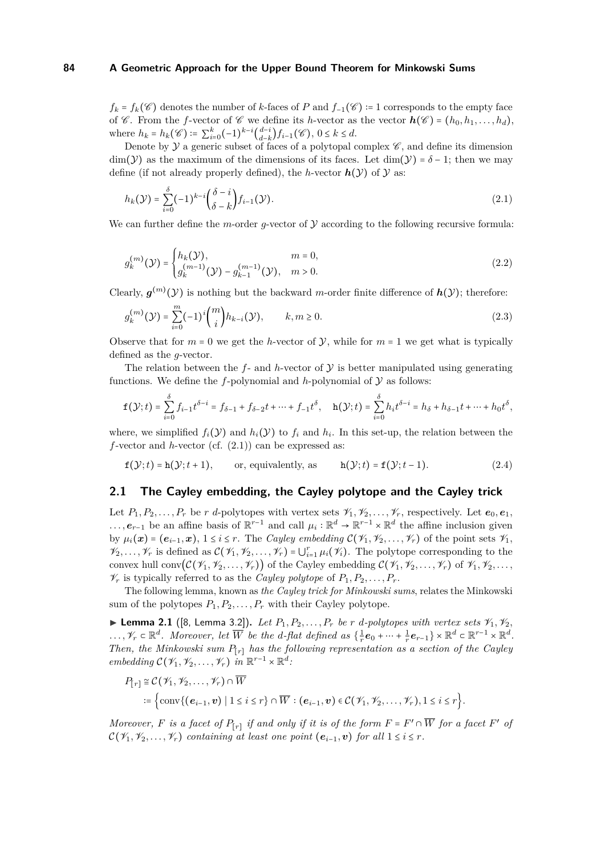$f_k = f_k(\mathscr{C})$  denotes the number of *k*-faces of *P* and  $f_{-1}(\mathscr{C}) = 1$  corresponds to the empty face of  $\mathscr C$ . From the *f*-vector of  $\mathscr C$  we define its *h*-vector as the vector  $h(\mathscr C) = (h_0, h_1, \ldots, h_d)$ , where  $h_k = h_k(\mathscr{C}) \coloneqq \sum_{i=0}^k (-1)^{k-i} \binom{d-i}{d-k}$  $\binom{d-1}{d-k} f_{i-1}(\mathscr{C}), 0 \leq k \leq d.$ 

Denote by  $\mathcal Y$  a generic subset of faces of a polytopal complex  $\mathscr C$ , and define its dimension dim( $\mathcal{Y}$ ) as the maximum of the dimensions of its faces. Let dim( $\mathcal{Y}$ ) =  $\delta$  - 1; then we may define (if not already properly defined), the *h*-vector  $h(\mathcal{Y})$  of  $\mathcal{Y}$  as:

<span id="page-3-0"></span>
$$
h_k(\mathcal{Y}) = \sum_{i=0}^{\delta} (-1)^{k-i} \binom{\delta-i}{\delta-k} f_{i-1}(\mathcal{Y}).
$$
\n(2.1)

We can further define the *m*-order *q*-vector of  $\mathcal Y$  according to the following recursive formula:

$$
g_k^{(m)}(\mathcal{Y}) = \begin{cases} h_k(\mathcal{Y}), & m = 0, \\ g_k^{(m-1)}(\mathcal{Y}) - g_{k-1}^{(m-1)}(\mathcal{Y}), & m > 0. \end{cases}
$$
(2.2)

Clearly,  $g^{(m)}(\mathcal{Y})$  is nothing but the backward *m*-order finite difference of  $h(\mathcal{Y})$ ; therefore:

$$
g_k^{(m)}(\mathcal{Y}) = \sum_{i=0}^{m} (-1)^i \binom{m}{i} h_{k-i}(\mathcal{Y}), \qquad k, m \ge 0.
$$
 (2.3)

Observe that for  $m = 0$  we get the *h*-vector of  $\mathcal{V}$ , while for  $m = 1$  we get what is typically defined as the *g*-vector.

The relation between the  $f$ - and  $h$ -vector of  $\mathcal Y$  is better manipulated using generating functions. We define the  $f$ -polynomial and  $h$ -polynomial of  $\mathcal Y$  as follows:

$$
\mathbf{f}(\mathcal{Y};t) = \sum_{i=0}^{\delta} f_{i-1} t^{\delta-i} = f_{\delta-1} + f_{\delta-2} t + \dots + f_{-1} t^{\delta}, \quad \mathbf{h}(\mathcal{Y};t) = \sum_{i=0}^{\delta} h_i t^{\delta-i} = h_{\delta} + h_{\delta-1} t + \dots + h_0 t^{\delta},
$$

where, we simplified  $f_i(\mathcal{Y})$  and  $h_i(\mathcal{Y})$  to  $f_i$  and  $h_i$ . In this set-up, the relation between the *f*-vector and *h*-vector (cf. [\(2.1\)](#page-3-0)) can be expressed as:

<span id="page-3-2"></span>
$$
f(\mathcal{Y};t) = h(\mathcal{Y};t+1)
$$
, or, equivalently, as  $h(\mathcal{Y};t) = f(\mathcal{Y};t-1)$ . (2.4)

### **2.1 The Cayley embedding, the Cayley polytope and the Cayley trick**

Let  $P_1, P_2, \ldots, P_r$  be *r d*-polytopes with vertex sets  $\mathcal{V}_1, \mathcal{V}_2, \ldots, \mathcal{V}_r$ , respectively. Let  $e_0, e_1$ , *...*, *e*<sub>*r*−1</sub> be an affine basis of  $\mathbb{R}^{r-1}$  and call  $\mu_i : \mathbb{R}^d \to \mathbb{R}^{r-1} \times \mathbb{R}^d$  the affine inclusion given by  $\mu_i(\boldsymbol{x}) = (e_{i-1}, \boldsymbol{x}), 1 \leq i \leq r$ . The *Cayley embedding*  $\mathcal{C}(\mathcal{V}_1, \mathcal{V}_2, \ldots, \mathcal{V}_r)$  of the point sets  $\mathcal{V}_1$ ,  $\mathcal{V}_2,\ldots,\mathcal{V}_r$  is defined as  $\mathcal{C}(\mathcal{V}_1,\mathcal{V}_2,\ldots,\mathcal{V}_r) = \bigcup_{i=1}^r \mu_i(\mathcal{V}_i)$ . The polytope corresponding to the convex hull conv $(\mathcal{C}(\mathcal{V}_1, \mathcal{V}_2, \ldots, \mathcal{V}_r))$  of the Cayley embedding  $\mathcal{C}(\mathcal{V}_1, \mathcal{V}_2, \ldots, \mathcal{V}_r)$  of  $\mathcal{V}_1, \mathcal{V}_2, \ldots$  $\mathcal{V}_r$  is typically referred to as the *Cayley polytope* of  $P_1, P_2, \ldots, P_r$ .

The following lemma, known as *the Cayley trick for Minkowski sums*, relates the Minkowski sum of the polytopes  $P_1, P_2, \ldots, P_r$  with their Cayley polytope.

<span id="page-3-1"></span>**Lemma 2.1** ([\[8,](#page-14-12) Lemma 3.2]). Let  $P_1, P_2, \ldots, P_r$  be *r d*-polytopes with vertex sets  $\mathcal{V}_1, \mathcal{V}_2$ ,  $\ldots, \mathscr{V}_r \in \mathbb{R}^d$ . Moreover, let  $\overline{W}$  be the *d*-flat defined as  $\{\frac{1}{r}\mathbf{e}_0 + \cdots + \frac{1}{r}\mathbf{e}_{r-1}\} \times \mathbb{R}^d \subset \mathbb{R}^{r-1} \times \mathbb{R}^d$ . *Then, the Minkowski sum*  $P_{[r]}$  *has the following representation as a section of the Cayley embedding*  $\mathcal{C}(\mathcal{V}_1, \mathcal{V}_2, \ldots, \mathcal{V}_r)$  *in*  $\mathbb{R}^{r-1} \times \mathbb{R}^d$ *:* 

$$
P_{[r]} \cong C(\mathscr{V}_1, \mathscr{V}_2, \dots, \mathscr{V}_r) \cap \overline{W}
$$
  
:= 
$$
\left\{ \mathrm{conv}\{(\mathbf{e}_{i-1}, \mathbf{v}) \mid 1 \leq i \leq r\} \cap \overline{W} : (\mathbf{e}_{i-1}, \mathbf{v}) \in C(\mathscr{V}_1, \mathscr{V}_2, \dots, \mathscr{V}_r), 1 \leq i \leq r \right\}.
$$

*Moreover,*  $F$  *is a facet of*  $P_{[r]}$  *if and only if it is of the form*  $F = F' \cap \overline{W}$  *for a facet*  $F'$  *of*  $\mathcal{C}(\mathcal{V}_1, \mathcal{V}_2, \ldots, \mathcal{V}_r)$  *containing at least one point*  $(e_{i-1}, v)$  *for all*  $1 \leq i \leq r$ *.*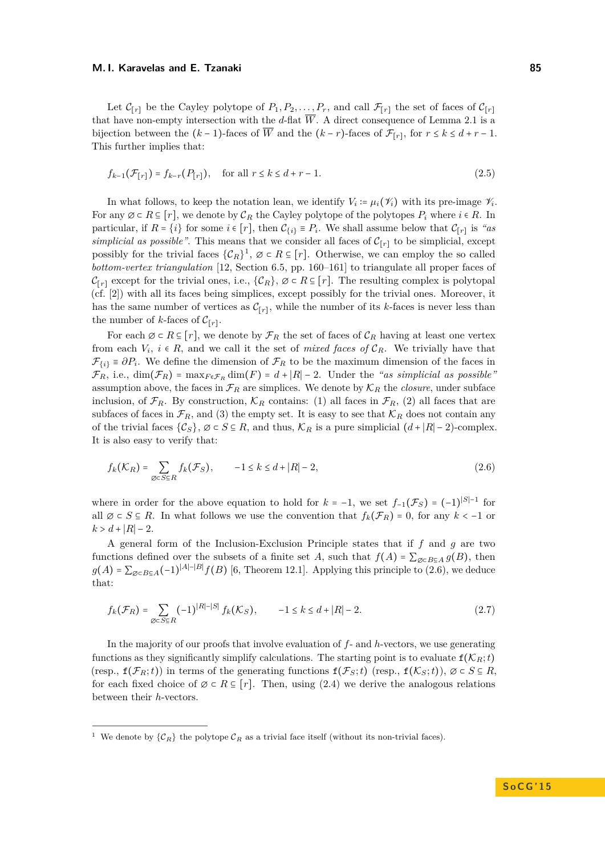Let  $\mathcal{C}_{[r]}$  be the Cayley polytope of  $P_1, P_2, \ldots, P_r$ , and call  $\mathcal{F}_{[r]}$  the set of faces of  $\mathcal{C}_{[r]}$ that have non-empty intersection with the  $d$ -flat  $\overline{W}$ . A direct consequence of Lemma [2.1](#page-3-1) is a bijection between the  $(k-1)$ -faces of *W* and the  $(k-r)$ -faces of  $\mathcal{F}_{[r]}$ , for  $r \leq k \leq d+r-1$ . This further implies that:

$$
f_{k-1}(\mathcal{F}_{[r]}) = f_{k-r}(P_{[r]}), \quad \text{for all } r \le k \le d+r-1.
$$
 (2.5)

In what follows, to keep the notation lean, we identify  $V_i := \mu_i(\mathscr{V}_i)$  with its pre-image  $\mathscr{V}_i$ . For any  $\emptyset \subset R \subseteq [r]$ , we denote by  $\mathcal{C}_R$  the Cayley polytope of the polytopes  $P_i$  where  $i \in R$ . In particular, if  $R = \{i\}$  for some  $i \in [r]$ , then  $C_{\{i\}} \equiv P_i$ . We shall assume below that  $C_{[r]}$  is *"as simplicial as possible"*. This means that we consider all faces of  $C_{[r]}$  to be simplicial, except possibly for the trivial faces  $\{C_R\}^1$  $\{C_R\}^1$ ,  $\emptyset \subset R \subseteq [r]$ . Otherwise, we can employ the so called *bottom-vertex triangulation* [\[12,](#page-14-13) Section 6.5, pp. 160–161] to triangulate all proper faces of  $C_{[r]}$  except for the trivial ones, i.e.,  $\{C_R\}$ ,  $\emptyset \subset R \subseteq [r]$ . The resulting complex is polytopal (cf. [\[2\]](#page-14-14)) with all its faces being simplices, except possibly for the trivial ones. Moreover, it has the same number of vertices as  $\mathcal{C}_{[r]}$ , while the number of its *k*-faces is never less than the number of *k*-faces of  $\mathcal{C}_{[r]}$ .

For each  $\emptyset \subset R \subseteq [r]$ , we denote by  $\mathcal{F}_R$  the set of faces of  $\mathcal{C}_R$  having at least one vertex from each  $V_i$ ,  $i \in R$ , and we call it the set of *mixed faces of*  $\mathcal{C}_R$ . We trivially have that  $\mathcal{F}_{\{i\}} \equiv \partial P_i$ . We define the dimension of  $\mathcal{F}_R$  to be the maximum dimension of the faces in  $\mathcal{F}_R$ , i.e., dim $(\mathcal{F}_R)$  = max $_{F \in \mathcal{F}_R}$  dim $(F)$  = *d* + |R| − 2. Under the *"as simplicial as possible"* assumption above, the faces in  $\mathcal{F}_R$  are simplices. We denote by  $\mathcal{K}_R$  the *closure*, under subface inclusion, of  $\mathcal{F}_R$ . By construction,  $\mathcal{K}_R$  contains: (1) all faces in  $\mathcal{F}_R$ , (2) all faces that are subfaces of faces in  $\mathcal{F}_R$ , and (3) the empty set. It is easy to see that  $\mathcal{K}_R$  does not contain any of the trivial faces  $\{\mathcal{C}_S\}$ ,  $\emptyset \subset S \subseteq R$ , and thus,  $\mathcal{K}_R$  is a pure simplicial  $(d+|R|-2)$ -complex. It is also easy to verify that:

<span id="page-4-1"></span>
$$
f_k(\mathcal{K}_R) = \sum_{\emptyset \subset S \subseteq R} f_k(\mathcal{F}_S), \qquad -1 \le k \le d + |R| - 2,
$$
\n(2.6)

where in order for the above equation to hold for  $k = -1$ , we set  $f_{-1}(\mathcal{F}_S) = (-1)^{|S|-1}$  for all  $\emptyset \subset S \subseteq R$ . In what follows we use the convention that  $f_k(\mathcal{F}_R) = 0$ , for any  $k < -1$  or  $k > d + |R| - 2$ .

A general form of the Inclusion-Exclusion Principle states that if *f* and *g* are two functions defined over the subsets of a finite set *A*, such that  $f(A) = \sum_{\emptyset \subset B \subseteq A} g(B)$ , then  $g(A) = \sum_{\emptyset \in B \subseteq A} (-1)^{|A| - |B|} f(B)$  [\[6,](#page-14-15) Theorem 12.1]. Applying this principle to [\(2.6\)](#page-4-1), we deduce that:

$$
f_k(\mathcal{F}_R) = \sum_{\emptyset \subset S \subseteq R} (-1)^{|R| - |S|} f_k(\mathcal{K}_S), \qquad -1 \le k \le d + |R| - 2. \tag{2.7}
$$

In the majority of our proofs that involve evaluation of *f*- and *h*-vectors, we use generating functions as they significantly simplify calculations. The starting point is to evaluate  $f(K_R; t)$ (resp.,  $f(\mathcal{F}_R; t)$ ) in terms of the generating functions  $f(\mathcal{F}_S; t)$  (resp.,  $f(\mathcal{K}_S; t)$ ),  $\emptyset \subset S \subseteq R$ , for each fixed choice of  $\emptyset \subset R \subseteq [r]$ . Then, using [\(2.4\)](#page-3-2) we derive the analogous relations between their *h*-vectors.

<span id="page-4-0"></span><sup>&</sup>lt;sup>1</sup> We denote by  $\{\mathcal{C}_R\}$  the polytope  $\mathcal{C}_R$  as a trivial face itself (without its non-trivial faces).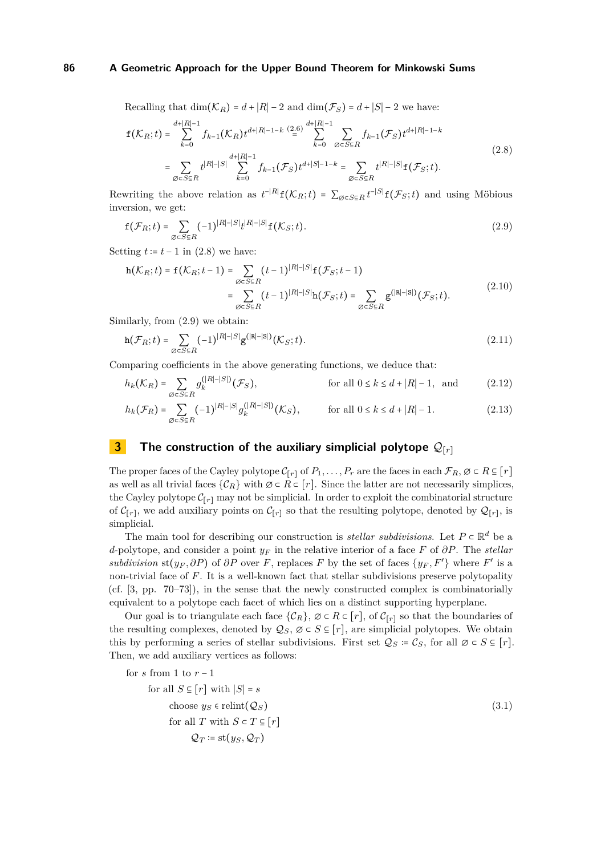Recalling that  $\dim(\mathcal{K}_R) = d + |R| - 2$  and  $\dim(\mathcal{F}_S) = d + |S| - 2$  we have:

<span id="page-5-1"></span>
$$
\mathbf{f}(\mathcal{K}_R;t) = \sum_{k=0}^{d+|R|-1} f_{k-1}(\mathcal{K}_R)t^{d+|R|-1-k} \stackrel{(2.6)}{=} \sum_{k=0}^{d+|R|-1} \sum_{\emptyset \subset S \subseteq R} f_{k-1}(\mathcal{F}_S)t^{d+|R|-1-k}
$$
\n
$$
= \sum_{\emptyset \subset S \subseteq R} t^{|R|-|S|} \sum_{k=0}^{d+|R|-1} f_{k-1}(\mathcal{F}_S)t^{d+|S|-1-k} = \sum_{\emptyset \subset S \subseteq R} t^{|R|-|S|} \mathbf{f}(\mathcal{F}_S;t).
$$
\n(2.8)

Rewriting the above relation as  $t^{-|R|}f(\mathcal{K}_R;t) = \sum_{\emptyset \subset S \subseteq R} t^{-|S|}f(\mathcal{F}_S;t)$  and using Möbious inversion, we get:

<span id="page-5-2"></span>
$$
\mathbf{f}(\mathcal{F}_R;t) = \sum_{\emptyset \subset S \subseteq R} (-1)^{|R|-|S|} t^{|R|-|S|} \mathbf{f}(\mathcal{K}_S;t). \tag{2.9}
$$

Setting  $t := t - 1$  in [\(2.8\)](#page-5-1) we have:

$$
\begin{split} \mathbf{h}(\mathcal{K}_R;t) &= \mathbf{f}(\mathcal{K}_R;t-1) = \sum_{\varnothing \subset S \subseteq R} (t-1)^{|R|-|S|} \mathbf{f}(\mathcal{F}_S;t-1) \\ &= \sum_{\varnothing \subset S \subseteq R} (t-1)^{|R|-|S|} \mathbf{h}(\mathcal{F}_S;t) = \sum_{\varnothing \subset S \subseteq R} \mathbf{g}^{(|R|-|S|)}(\mathcal{F}_S;t). \end{split} \tag{2.10}
$$

Similarly, from [\(2.9\)](#page-5-2) we obtain:

$$
\mathbf{h}(\mathcal{F}_R;t) = \sum_{\emptyset \in S \subseteq R} (-1)^{|R| - |S|} \mathbf{g}^{(|R| - |S|)}(\mathcal{K}_S;t). \tag{2.11}
$$

Comparing coefficients in the above generating functions, we deduce that:

<span id="page-5-4"></span>
$$
h_k(\mathcal{K}_R) = \sum_{\emptyset \subset S \subseteq R} g_k^{(|R|-|S|)}(\mathcal{F}_S), \qquad \text{for all } 0 \le k \le d + |R|-1, \text{ and} \qquad (2.12)
$$

<span id="page-5-5"></span>
$$
h_k(\mathcal{F}_R) = \sum_{\emptyset \subset S \subseteq R} (-1)^{|R| - |S|} g_k^{(|R| - |S|)}(\mathcal{K}_S), \qquad \text{for all } 0 \le k \le d + |R| - 1. \tag{2.13}
$$

# <span id="page-5-0"></span>**3 The construction of the auxiliary simplicial polytope**  $\mathcal{Q}_{[r]}$

The proper faces of the Cayley polytope  $C_{[r]}$  of  $P_1, \ldots, P_r$  are the faces in each  $\mathcal{F}_R$ ,  $\emptyset \subset R \subseteq [r]$ as well as all trivial faces  $\{\mathcal{C}_R\}$  with  $\emptyset \subset R \subset [r]$ . Since the latter are not necessarily simplices, the Cayley polytope  $C_{[r]}$  may not be simplicial. In order to exploit the combinatorial structure of  $\mathcal{C}_{[r]}$ , we add auxiliary points on  $\mathcal{C}_{[r]}$  so that the resulting polytope, denoted by  $\mathcal{Q}_{[r]}$ , is simplicial.

The main tool for describing our construction is *stellar subdivisions*. Let  $P \subset \mathbb{R}^d$  be a *d*-polytope, and consider a point *y<sup>F</sup>* in the relative interior of a face *F* of *∂P*. The *stellar subdivision* st( $y_F$ , $\partial P$ ) of  $\partial P$  over *F*, replaces *F* by the set of faces  $\{y_F, F'\}$  where *F*' is a non-trivial face of *F*. It is a well-known fact that stellar subdivisions preserve polytopality (cf. [\[3,](#page-14-16) pp. 70–73]), in the sense that the newly constructed complex is combinatorially equivalent to a polytope each facet of which lies on a distinct supporting hyperplane.

Our goal is to triangulate each face  $\{\mathcal{C}_R\}$ ,  $\emptyset \subset R \subset [r]$ , of  $\mathcal{C}_{[r]}$  so that the boundaries of the resulting complexes, denoted by  $Q_S$ ,  $\emptyset \subset S \subseteq [r]$ , are simplicial polytopes. We obtain this by performing a series of stellar subdivisions. First set  $\mathcal{Q}_S \coloneqq \mathcal{C}_S$ , for all  $\emptyset \subset S \subseteq [r]$ . Then, we add auxiliary vertices as follows:

<span id="page-5-3"></span>for s from 1 to 
$$
r - 1
$$
  
\nfor all  $S \subseteq [r]$  with  $|S| = s$   
\nchoose  $ys \in \text{relint}(\mathcal{Q}_S)$   
\nfor all T with  $S \subset T \subseteq [r]$   
\n $\mathcal{Q}_T := \text{st}(y_S, \mathcal{Q}_T)$  (3.1)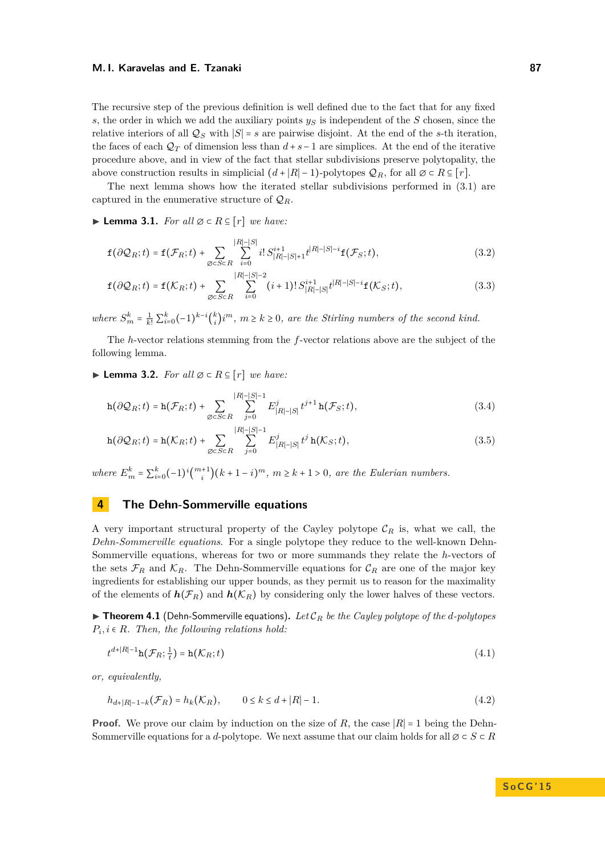#### **M. I. Karavelas and E. Tzanaki 87** and 87 and 87 and 87 and 87 and 87 and 87 and 87 and 87 and 87 and 87 and 87

The recursive step of the previous definition is well defined due to the fact that for any fixed *s*, the order in which we add the auxiliary points *y<sup>S</sup>* is independent of the *S* chosen, since the relative interiors of all  $Q_S$  with  $|S| = s$  are pairwise disjoint. At the end of the *s*-th iteration, the faces of each  $\mathcal{Q}_T$  of dimension less than  $d + s - 1$  are simplices. At the end of the iterative procedure above, and in view of the fact that stellar subdivisions preserve polytopality, the above construction results in simplicial  $(d+|R|-1)$ -polytopes  $\mathcal{Q}_R$ , for all  $\emptyset \subset R \subseteq [r]$ .

The next lemma shows how the iterated stellar subdivisions performed in [\(3.1\)](#page-5-3) are captured in the enumerative structure of  $\mathcal{Q}_R$ .

#### **► Lemma 3.1.** *For all*  $\emptyset \subset R \subseteq [r]$  *we have:*

$$
\mathbf{f}(\partial \mathcal{Q}_R; t) = \mathbf{f}(\mathcal{F}_R; t) + \sum_{\emptyset \subset S \subset R} \sum_{i=0}^{|R| - |S|} i! \, S_{|R| - |S| + 1}^{i+1} t^{|R| - |S| - i} \mathbf{f}(\mathcal{F}_S; t), \tag{3.2}
$$

$$
\mathbf{f}(\partial \mathcal{Q}_R;t) = \mathbf{f}(\mathcal{K}_R;t) + \sum_{\emptyset \subset S \subset R} \sum_{i=0}^{|R| - |S| - 2} (i+1)! S_{|R| - |S|}^{i+1} t^{|R| - |S| - i} \mathbf{f}(\mathcal{K}_S;t), \tag{3.3}
$$

*where*  $S_m^k = \frac{1}{k!} \sum_{i=0}^k (-1)^{k-i} {k \choose i}$  $\binom{k}{i}$ *i*<sup>m</sup>,  $m \geq k \geq 0$ , are the Stirling numbers of the second kind.

The *h*-vector relations stemming from the *f*-vector relations above are the subject of the following lemma.

<span id="page-6-2"></span>I **Lemma 3.2.** *For all* ∅ ⊂ *R* ⊆ [*r*] *we have:*

<span id="page-6-1"></span>
$$
\mathbf{h}(\partial \mathcal{Q}_R; t) = \mathbf{h}(\mathcal{F}_R; t) + \sum_{\emptyset \subset S \subset R} \sum_{j=0}^{|R| - |S| - 1} E^j_{|R| - |S|} t^{j+1} \mathbf{h}(\mathcal{F}_S; t), \tag{3.4}
$$

<span id="page-6-3"></span>
$$
\mathbf{h}(\partial \mathcal{Q}_R; t) = \mathbf{h}(\mathcal{K}_R; t) + \sum_{\emptyset \subset S \subset R} \sum_{j=0}^{|R| - |S| - 1} E^j_{|R| - |S|} t^j \, \mathbf{h}(\mathcal{K}_S; t), \tag{3.5}
$$

*where*  $E_m^k = \sum_{i=0}^k (-1)^i \binom{m+1}{i} (k+1-i)^m$ ,  $m \ge k+1 > 0$ , are the Eulerian numbers.

## <span id="page-6-0"></span>**4 The Dehn-Sommerville equations**

A very important structural property of the Cayley polytope  $\mathcal{C}_R$  is, what we call, the *Dehn-Sommerville equations*. For a single polytope they reduce to the well-known Dehn-Sommerville equations, whereas for two or more summands they relate the *h*-vectors of the sets  $\mathcal{F}_R$  and  $\mathcal{K}_R$ . The Dehn-Sommerville equations for  $\mathcal{C}_R$  are one of the major key ingredients for establishing our upper bounds, as they permit us to reason for the maximality of the elements of  $h(\mathcal{F}_R)$  and  $h(\mathcal{K}_R)$  by considering only the lower halves of these vectors.

 $\blacktriangleright$  **Theorem 4.1** (Dehn-Sommerville equations). Let  $\mathcal{C}_R$  be the Cayley polytope of the *d*-polytopes  $P_i, i \in R$ *. Then, the following relations hold:* 

<span id="page-6-4"></span>
$$
t^{d+|R|-1}\mathbf{h}(\mathcal{F}_R;\frac{1}{t}) = \mathbf{h}(\mathcal{K}_R;t)
$$
\n(4.1)

*or, equivalently,*

$$
h_{d+|R|-1-k}(\mathcal{F}_R) = h_k(\mathcal{K}_R), \qquad 0 \le k \le d+|R|-1. \tag{4.2}
$$

**Proof.** We prove our claim by induction on the size of *R*, the case  $|R| = 1$  being the Dehn-Sommerville equations for a *d*-polytope. We next assume that our claim holds for all  $\emptyset \subset S \subset R$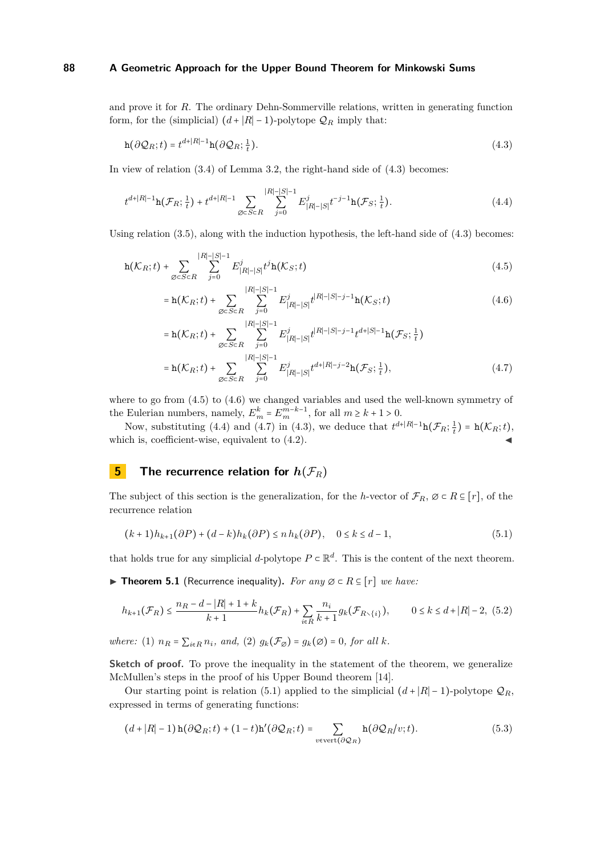and prove it for *R*. The ordinary Dehn-Sommerville relations, written in generating function form, for the (simplicial)  $(d+|R|-1)$ -polytope  $\mathcal{Q}_R$  imply that:

<span id="page-7-1"></span>
$$
\mathbf{h}(\partial \mathcal{Q}_R;t) = t^{d+|R|-1}\mathbf{h}(\partial \mathcal{Q}_R;\frac{1}{t}).
$$
\n(4.3)

In view of relation [\(3.4\)](#page-6-1) of Lemma [3.2,](#page-6-2) the right-hand side of [\(4.3\)](#page-7-1) becomes:

$$
t^{d+|R|-1}\mathbf{h}(\mathcal{F}_R; \frac{1}{t}) + t^{d+|R|-1} \sum_{\emptyset \subset S \subset R} \sum_{j=0}^{|R|-|S|-1} E^j_{|R|-|S|} t^{-j-1} \mathbf{h}(\mathcal{F}_S; \frac{1}{t}). \tag{4.4}
$$

Using relation  $(3.5)$ , along with the induction hypothesis, the left-hand side of  $(4.3)$  becomes:

$$
\mathbf{h}(\mathcal{K}_R; t) + \sum_{\emptyset \in S \subset R} \sum_{j=0}^{|R| - |S| - 1} E^j_{|R| - |S|} t^j \mathbf{h}(\mathcal{K}_S; t) \tag{4.5}
$$

<span id="page-7-4"></span><span id="page-7-3"></span><span id="page-7-2"></span>
$$
= \mathbf{h}(\mathcal{K}_R; t) + \sum_{\emptyset \subset S \subset R} \sum_{j=0}^{|R| - |S| - 1} E^j_{|R| - |S|} t^{|R| - |S| - j - 1} \mathbf{h}(\mathcal{K}_S; t) \tag{4.6}
$$

<span id="page-7-5"></span>
$$
= \mathbf{h}(\mathcal{K}_R; t) + \sum_{\emptyset \subset S \subset R} \sum_{j=0}^{|R|-|S|-1} E_{|R|-|S|}^j t^{|R|-|S|-j-1} t^{d+|S|-1} \mathbf{h}(\mathcal{F}_S; \frac{1}{t})
$$
  
= 
$$
\mathbf{h}(\mathcal{K}_R; t) + \sum_{\emptyset \subset S \subset R} \sum_{j=0}^{|R|-|S|-1} E_{|R|-|S|}^j t^{d+|R|-j-2} \mathbf{h}(\mathcal{F}_S; \frac{1}{t}),
$$
 (4.7)

where to go from [\(4.5\)](#page-7-2) to [\(4.6\)](#page-7-3) we changed variables and used the well-known symmetry of the Eulerian numbers, namely,  $E_m^k = E_m^{m-k-1}$ , for all  $m \ge k+1 > 0$ .

Now, substituting [\(4.4\)](#page-7-4) and [\(4.7\)](#page-7-5) in [\(4.3\)](#page-7-1), we deduce that  $t^{d+|R|-1} \mathbf{h}(\mathcal{F}_R; \frac{1}{t}) = \mathbf{h}(\mathcal{K}_R; t)$ , which is, coefficient-wise, equivalent to  $(4.2)$ .

# <span id="page-7-0"></span>**5 The recurrence relation for**  $h(\mathcal{F}_R)$

The subject of this section is the generalization, for the *h*-vector of  $\mathcal{F}_R$ ,  $\emptyset \subset R \subseteq [r]$ , of the recurrence relation

<span id="page-7-8"></span><span id="page-7-6"></span>
$$
(k+1)h_{k+1}(\partial P) + (d-k)h_k(\partial P) \le nh_k(\partial P), \quad 0 \le k \le d-1,
$$
\n
$$
(5.1)
$$

that holds true for any simplicial *d*-polytope  $P \subset \mathbb{R}^d$ . This is the content of the next theorem.

<span id="page-7-9"></span>**► Theorem 5.1** (Recurrence inequality). For any  $\emptyset \subset R \subseteq [r]$  we have:

$$
h_{k+1}(\mathcal{F}_R) \le \frac{n_R - d - |R| + 1 + k}{k+1} h_k(\mathcal{F}_R) + \sum_{i \in R} \frac{n_i}{k+1} g_k(\mathcal{F}_{R \setminus \{i\}}), \qquad 0 \le k \le d + |R| - 2, \tag{5.2}
$$

*where:* (1)  $n_R = \sum_{i \in R} n_i$ , and, (2)  $q_k(\mathcal{F}_\emptyset) = q_k(\emptyset) = 0$ , for all k.

**Sketch of proof.** To prove the inequality in the statement of the theorem, we generalize McMullen's steps in the proof of his Upper Bound theorem [\[14\]](#page-14-4).

Our starting point is relation [\(5.1\)](#page-7-6) applied to the simplicial  $(d+|R|-1)$ -polytope  $\mathcal{Q}_R$ , expressed in terms of generating functions:

<span id="page-7-7"></span>
$$
(d+|R|-1)\mathbf{h}(\partial\mathcal{Q}_R;t) + (1-t)\mathbf{h}'(\partial\mathcal{Q}_R;t) = \sum_{v \in \text{vert}(\partial\mathcal{Q}_R)} \mathbf{h}(\partial\mathcal{Q}_R/v;t).
$$
(5.3)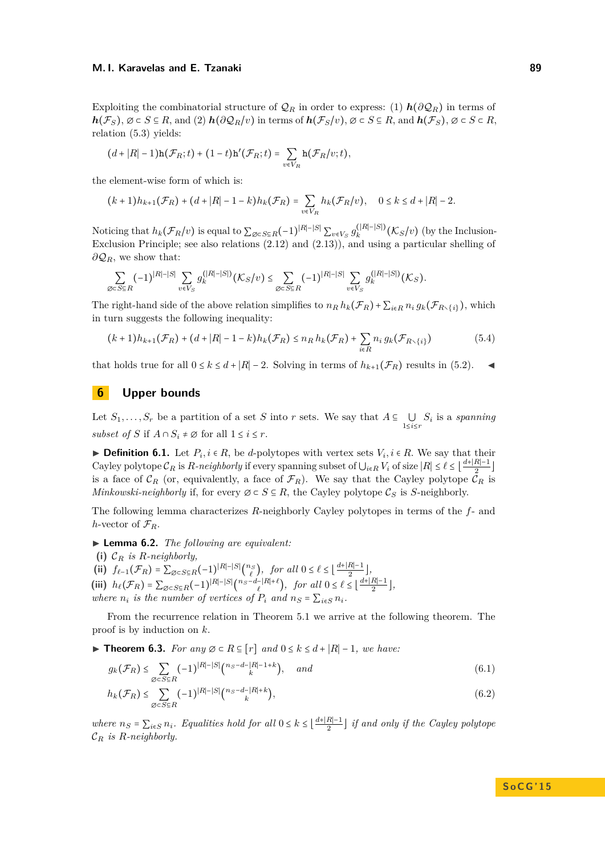Exploiting the combinatorial structure of  $\mathcal{Q}_R$  in order to express: (1)  $h(\partial \mathcal{Q}_R)$  in terms of *h*( $\mathcal{F}_S$ ), ∅ ⊂ *S* ⊆ *R*, and (2) *h*( $\partial \mathcal{Q}_R/v$ ) in terms of *h*( $\mathcal{F}_S/v$ ), ∅ ⊂ *S* ⊆ *R*, and *h*( $\mathcal{F}_S$ ), ∅ ⊂ *S* ⊂ *R*, relation [\(5.3\)](#page-7-7) yields:

$$
(d+|R|-1)\mathbf{h}(\mathcal{F}_R;t)+(1-t)\mathbf{h}'(\mathcal{F}_R;t)=\sum_{v\in V_R}\mathbf{h}(\mathcal{F}_R/v;t),
$$

the element-wise form of which is:

$$
(k+1)h_{k+1}(\mathcal{F}_R) + (d+|R|-1-k)h_k(\mathcal{F}_R) = \sum_{v \in V_R} h_k(\mathcal{F}_R/v), \quad 0 \le k \le d+|R|-2.
$$

Noticing that  $h_k(\mathcal{F}_R/v)$  is equal to  $\sum_{\emptyset \subset S \subseteq R} (-1)^{|R|-|S|} \sum_{v \in V_S} g_k^{(|R|-|S|)}$  $\int_k^{(R-|S|)} (\mathcal{K}_S/v)$  (by the Inclusion-Exclusion Principle; see also relations [\(2.12\)](#page-5-4) and [\(2.13\)](#page-5-5)), and using a particular shelling of *∂*Q*R*, we show that:

$$
\sum_{\emptyset \in S \subseteq R} (-1)^{|R| - |S|} \sum_{v \in V_S} g_k^{(|R| - |S|)}(\mathcal{K}_S/v) \leq \sum_{\emptyset \in S \subseteq R} (-1)^{|R| - |S|} \sum_{v \in V_S} g_k^{(|R| - |S|)}(\mathcal{K}_S).
$$

The right-hand side of the above relation simplifies to  $n_R h_k(\mathcal{F}_R) + \sum_{i \in R} n_i g_k(\mathcal{F}_{R \setminus \{i\}})$ , which in turn suggests the following inequality:

$$
(k+1)h_{k+1}(\mathcal{F}_R) + (d+|R|-1-k)h_k(\mathcal{F}_R) \le n_R h_k(\mathcal{F}_R) + \sum_{i \in R} n_i g_k(\mathcal{F}_{R \setminus \{i\}})
$$
(5.4)

that holds true for all  $0 \le k \le d + |R| - 2$ . Solving in terms of  $h_{k+1}(\mathcal{F}_R)$  results in [\(5.2\)](#page-7-8). ◄

# <span id="page-8-0"></span>**6 Upper bounds**

Let  $S_1, \ldots, S_r$  be a partition of a set *S* into *r* sets. We say that  $A \subseteq \bigcup_{1 \leq i \leq r} S_i$  is a *spanning subset of S* if  $A \cap S_i \neq \emptyset$  for all  $1 \leq i \leq r$ .

▶ **Definition 6.1.** Let  $P_i$ ,  $i \in R$ , be *d*-polytopes with vertex sets  $V_i$ ,  $i \in R$ . We say that their Cayley polytope  $\mathcal{C}_R$  is  $R$ *-neighborly* if every spanning subset of  $\bigcup_{i\in R}V_i$  of size  $|R|\leq \ell \leq \lfloor \frac{d+|R|-1}{2}\rfloor$  $\frac{n-1}{2}$ is a face of  $\mathcal{C}_R$  (or, equivalently, a face of  $\mathcal{F}_R$ ). We say that the Cayley polytope  $\mathcal{C}_R$  is *Minkowski-neighborly* if, for every  $\emptyset \subset S \subseteq R$ , the Cayley polytope  $\mathcal{C}_S$  is *S*-neighborly.

The following lemma characterizes *R*-neighborly Cayley polytopes in terms of the *f*- and *h*-vector of  $\mathcal{F}_R$ .

I **Lemma 6.2.** *The following are equivalent:*

**(i)** C*<sup>R</sup> is R-neighborly,*

**(ii)**  $f_{\ell-1}(\mathcal{F}_R) = \sum_{\emptyset \subset S \subseteq R} (-1)^{|R| - |S|} {n_S \choose \ell}$ , for all  $0 \le \ell \le \lfloor \frac{d + |R| - 1}{2}$  $\frac{n-1}{2}$ ,

(iii)  $h_{\ell}(\mathcal{F}_R) = \sum_{\emptyset \in S \subseteq R} (-1)^{|R| - |S|} {n_S - d - |R| + \ell \choose \ell}, \text{ for all } 0 \le \ell \le \lfloor \frac{d + |R| - 1}{2}$  $\frac{n-1}{2}$ , *where*  $n_i$  *is the number of vertices of*  $P_i$  *and*  $n_S = \sum_{i \in S} n_i$ *.* 

From the recurrence relation in Theorem [5.1](#page-7-9) we arrive at the following theorem. The proof is by induction on *k*.

<span id="page-8-1"></span>**► Theorem 6.3.** *For any*  $\emptyset \subset R \subseteq [r]$  *and*  $0 \le k \le d + |R| - 1$ *, we have:* 

$$
g_k(\mathcal{F}_R) \le \sum_{\emptyset \subset S \subseteq R} (-1)^{|R| - |S|} \binom{n_S - d - |R| - 1 + k}{k}, \quad \text{and} \tag{6.1}
$$

$$
h_k(\mathcal{F}_R) \le \sum_{\emptyset \subset S \subseteq R} (-1)^{|R|-|S|} \binom{n_S - d - |R| + k}{k},\tag{6.2}
$$

*where*  $n_S = \sum_{i \in S} n_i$ *. Equalities hold for all*  $0 \leq k \leq \left\lfloor \frac{d + |R| - 1}{2} \right\rfloor$  $\frac{R_{1}-1}{2}$  *if and only if the Cayley polytope* C*<sup>R</sup> is R-neighborly.*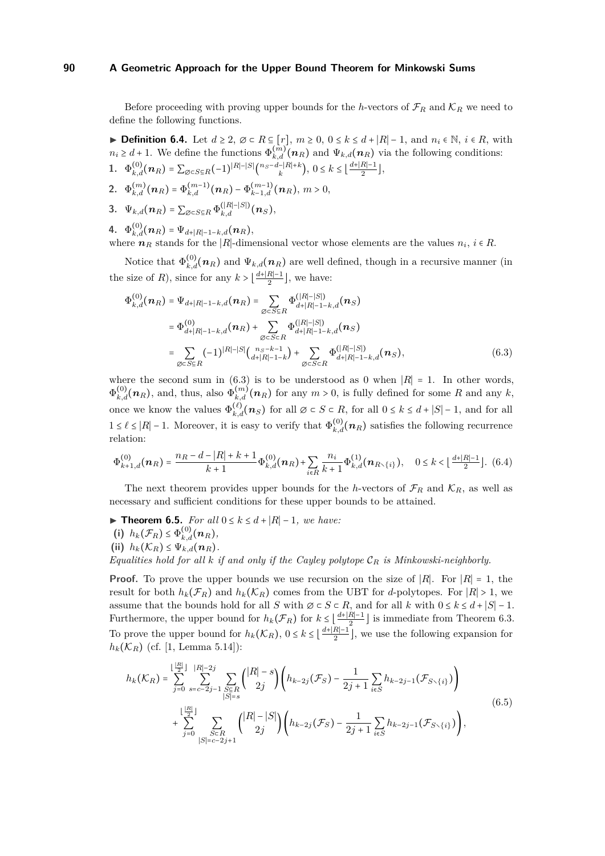Before proceeding with proving upper bounds for the *h*-vectors of  $\mathcal{F}_R$  and  $\mathcal{K}_R$  we need to define the following functions.

<span id="page-9-3"></span>**► Definition 6.4.** Let  $d \geq 2$ ,  $\emptyset \subset R \subseteq [r]$ ,  $m \geq 0$ ,  $0 \leq k \leq d + |R| - 1$ , and  $n_i \in \mathbb{N}$ ,  $i \in R$ , with  $n_i \geq d+1$ . We define the functions  $\Phi_{k,d}^{(m)}(n_R)$  and  $\Psi_{k,d}(n_R)$  via the following conditions: **1.**  $\Phi_{k,d}^{(0)}(n_R) = \sum_{\emptyset \subset S \subseteq R} (-1)^{|R| - |S|} {n_S - d - |R| + k \choose k}, 0 \le k \le \left\lfloor \frac{d + |R| - 1}{2} \right\rfloor$  $\frac{n-1}{2}$ ,

**2.**  $\Phi_{k,d}^{(m)}(n_R) = \Phi_{k,d}^{(m-1)}(n_R) - \Phi_{k-1,d}^{(m-1)}(n_R), m > 0,$ 

3. 
$$
\Psi_{k,d}(\boldsymbol{n}_R)=\sum_{\varnothing\in S\subseteq R}\Phi_{k,d}^{(|R|-|S|)}(\boldsymbol{n}_S),
$$

4. 
$$
\Phi_{k,d}^{(0)}(\boldsymbol{n}_R) = \Psi_{d+|R|-1-k,d}(\boldsymbol{n}_R),
$$

where  $n_R$  stands for the |*R*|-dimensional vector whose elements are the values  $n_i$ ,  $i \in R$ .

Notice that  $\Phi_{k,d}^{(0)}(n_R)$  and  $\Psi_{k,d}(n_R)$  are well defined, though in a recursive manner (in the size of *R*), since for any  $k > \lfloor \frac{d+|R|-1}{2}$  $\frac{R_{1}-1}{2}$ , we have:

<span id="page-9-0"></span>
$$
\Phi_{k,d}^{(0)}(\boldsymbol{n}_{R}) = \Psi_{d+|R|-1-k,d}(\boldsymbol{n}_{R}) = \sum_{\emptyset \subset S \subseteq R} \Phi_{d+|R|-1-k,d}^{(|R|-|S|)}(\boldsymbol{n}_{S})
$$
\n
$$
= \Phi_{d+|R|-1-k,d}^{(0)}(\boldsymbol{n}_{R}) + \sum_{\emptyset \subset S \subset R} \Phi_{d+|R|-1-k,d}^{(|R|-|S|)}(\boldsymbol{n}_{S})
$$
\n
$$
= \sum_{\emptyset \subset S \subseteq R} (-1)^{|R|-|S|} {n_{S-k-1} \choose d+|R|-1-k} + \sum_{\emptyset \subset S \subset R} \Phi_{d+|R|-1-k,d}^{(|R|-|S|)}(\boldsymbol{n}_{S}), \tag{6.3}
$$

where the second sum in [\(6.3\)](#page-9-0) is to be understood as 0 when  $|R| = 1$ . In other words,  $\Phi_{k,d}^{(0)}(n_R)$ , and, thus, also  $\Phi_{k,d}^{(m)}(n_R)$  for any  $m > 0$ , is fully defined for some *R* and any *k*, once we know the values  $\Phi_{k,d}^{(\ell)}(\boldsymbol{n}_S)$  for all  $\emptyset \subset S \subset R$ , for all  $0 \leq k \leq d + |S| - 1$ , and for all 1 ≤  $\ell$  ≤ |R| − 1. Moreover, it is easy to verify that  $\Phi_{k,d}^{(0)}(n_R)$  satisfies the following recurrence relation:

$$
\Phi_{k+1,d}^{(0)}(\boldsymbol{n}_R) = \frac{n_R - d - |R| + k + 1}{k+1} \Phi_{k,d}^{(0)}(\boldsymbol{n}_R) + \sum_{i \in R} \frac{n_i}{k+1} \Phi_{k,d}^{(1)}(\boldsymbol{n}_{R \setminus \{i\}}), \quad 0 \le k < \lfloor \frac{d + |R| - 1}{2} \rfloor. \tag{6.4}
$$

The next theorem provides upper bounds for the *h*-vectors of  $\mathcal{F}_R$  and  $\mathcal{K}_R$ , as well as necessary and sufficient conditions for these upper bounds to be attained.

<span id="page-9-2"></span>**► Theorem 6.5.** *For all*  $0 \le k \le d + |R| - 1$ *, we have:* 

- **(i)**  $h_k(\mathcal{F}_R) \leq \Phi_{k,d}^{(0)}(n_R)$ ,
- (ii)  $h_k(\mathcal{K}_R) \leq \Psi_{k,d}(n_R)$ .

*Equalities hold for all k if and only if the Cayley polytope* C*<sup>R</sup> is Minkowski-neighborly.*

**Proof.** To prove the upper bounds we use recursion on the size of ∣*R*∣. For ∣*R*∣ = 1, the result for both  $h_k(\mathcal{F}_R)$  and  $h_k(\mathcal{K}_R)$  comes from the UBT for *d*-polytopes. For  $|R| > 1$ , we assume that the bounds hold for all *S* with  $\emptyset \subset S \subset R$ , and for all *k* with  $0 \leq k \leq d + |S| - 1$ . Furthermore, the upper bound for  $h_k(\mathcal{F}_R)$  for  $k \leq \lfloor \frac{d+|R|-1}{2} \rfloor$  $\frac{R_{1}-1}{2}$  is immediate from Theorem [6.3.](#page-8-1) To prove the upper bound for  $h_k(\mathcal{K}_R)$ ,  $0 \le k \le \lfloor \frac{d+|R|-1}{2}$  $\frac{R_{1}-1}{2}$ , we use the following expansion for  $h_k(\mathcal{K}_R)$  (cf. [\[1,](#page-14-0) Lemma 5.14]):

<span id="page-9-1"></span>
$$
h_k(\mathcal{K}_R) = \sum_{j=0}^{\lfloor \frac{|R|}{2} \rfloor} \sum_{s=c-2j-1}^{|R|-2j} \sum_{\substack{S \subseteq R \\ |S|=s}} { |R| - s \choose 2j} \left( h_{k-2j}(\mathcal{F}_S) - \frac{1}{2j+1} \sum_{i \in S} h_{k-2j-1}(\mathcal{F}_{S \setminus \{i\}}) \right) + \sum_{j=0}^{\lfloor \frac{|R|}{2} \rfloor} \sum_{\substack{S \subseteq R \\ |S|=c-2j+1}} { |R| - |S| \choose 2j} \left( h_{k-2j}(\mathcal{F}_S) - \frac{1}{2j+1} \sum_{i \in S} h_{k-2j-1}(\mathcal{F}_{S \setminus \{i\}}) \right),
$$
\n(6.5)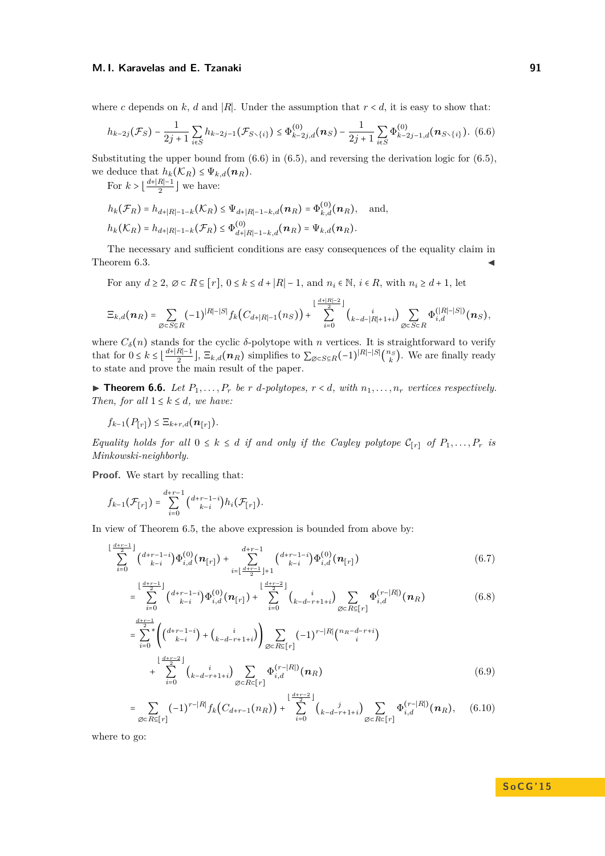where *c* depends on *k*, *d* and |*R*|. Under the assumption that  $r < d$ , it is easy to show that:

<span id="page-10-0"></span>
$$
h_{k-2j}(\mathcal{F}_S) - \frac{1}{2j+1} \sum_{i \in S} h_{k-2j-1}(\mathcal{F}_{S \setminus \{i\}}) \leq \Phi_{k-2j,d}^{(0)}(\mathbf{n}_S) - \frac{1}{2j+1} \sum_{i \in S} \Phi_{k-2j-1,d}^{(0)}(\mathbf{n}_{S \setminus \{i\}}). \tag{6.6}
$$

Substituting the upper bound from  $(6.6)$  in  $(6.5)$ , and reversing the derivation logic for  $(6.5)$ , we deduce that  $h_k(\mathcal{K}_R) \leq \Psi_{k,d}(n_R)$ .

For  $k > \left\lfloor \frac{d+|R|-1}{2} \right\rfloor$  $\frac{R|-1}{2}$  we have:

$$
h_k(\mathcal{F}_R) = h_{d+|R|-1-k}(\mathcal{K}_R) \leq \Psi_{d+|R|-1-k,d}(\boldsymbol{n}_R) = \Phi_{k,d}^{(0)}(\boldsymbol{n}_R), \text{ and,}
$$
  

$$
h_k(\mathcal{K}_R) = h_{d+|R|-1-k}(\mathcal{F}_R) \leq \Phi_{d+|R|-1-k,d}^{(0)}(\boldsymbol{n}_R) = \Psi_{k,d}(\boldsymbol{n}_R).
$$

The necessary and sufficient conditions are easy consequences of the equality claim in Theorem [6.3.](#page-8-1)

For any  $d \geq 2$ ,  $\emptyset \subset R \subseteq [r]$ ,  $0 \leq k \leq d + |R| - 1$ , and  $n_i \in \mathbb{N}$ ,  $i \in R$ , with  $n_i \geq d + 1$ , let

$$
\Xi_{k,d}(\boldsymbol n_R) = \sum_{\varnothing\in S\subseteq R} (-1)^{|R|-|S|} f_k\big(C_{d+|R|-1}(n_S)\big) + \sum_{i=0}^{\lfloor\frac{d+|R|-2}{2}\rfloor} {i\choose k-d-|R|+1+i}\sum_{\varnothing\in S\subset R} \Phi_{i,d}^{(|R|-|S|)}(\boldsymbol n_S),
$$

where  $C_{\delta}(n)$  stands for the cyclic  $\delta$ -polytope with *n* vertices. It is straightforward to verify that for  $0 \leq k \leq \left\lfloor \frac{d + |R| - 1}{2} \right\rfloor$  $\frac{R|-1}{2}$ ,  $\Xi_{k,d}(n_R)$  simplifies to  $\sum_{\emptyset \in S \subseteq R} (-1)^{|R|-|S|} \binom{n_S}{k}$ . We are finally ready to state and prove the main result of the paper.

<span id="page-10-5"></span> $\blacktriangleright$  **Theorem 6.6.** Let  $P_1, \ldots, P_r$  be *r d*-polytopes,  $r < d$ , with  $n_1, \ldots, n_r$  vertices respectively. *Then, for all*  $1 \leq k \leq d$ *, we have:* 

 $f_{k-1}(P_{[r]})$  ≤  $\Xi_{k+r,d}(n_{[r]})$ *.* 

*Equality holds for all*  $0 \leq k \leq d$  *if and only if the Cayley polytope*  $C_{[r]}$  *of*  $P_1, \ldots, P_r$  *is Minkowski-neighborly.*

**Proof.** We start by recalling that:

$$
f_{k-1}(\mathcal{F}_{[r]}) = \sum_{i=0}^{d+r-1} {d+r-1-i \choose k-i} h_i(\mathcal{F}_{[r]}).
$$

In view of Theorem [6.5,](#page-9-2) the above expression is bounded from above by:

$$
\sum_{i=0}^{\lfloor \frac{d+r-1}{2} \rfloor} {d+r-1-i \choose k-i} \Phi_{i,d}^{(0)}(\boldsymbol{n}_{[r]}) + \sum_{i=\lfloor \frac{d+r-1}{2} \rfloor+1}^{d+r-1} {d+r-1-i \choose k-i} \Phi_{i,d}^{(0)}(\boldsymbol{n}_{[r]})
$$
(6.7)

<span id="page-10-1"></span>
$$
= \sum_{i=0}^{\lfloor \frac{d+r-1}{2} \rfloor} {d+r-1-i \choose k-i} \Phi_{i,d}^{(0)}(\boldsymbol{n}_{[r]}) + \sum_{i=0}^{\lfloor \frac{d+r-2}{2} \rfloor} {i \choose k-d-r+1+i} \sum_{\emptyset \subset R \subseteq [r]} \Phi_{i,d}^{(r-|R|)}(\boldsymbol{n}_R)
$$
(6.8)

<span id="page-10-2"></span>
$$
= \sum_{i=0}^{\frac{d+r-1}{2}} \binom{d+r-1-i}{k-i} + \binom{i}{k-d-r+1+i} \sum_{\emptyset \subset R \subseteq [r]} (-1)^{r-|R|} \binom{n_R-d-r+i}{i} + \sum_{i=0}^{\lfloor \frac{d+r-2}{2} \rfloor} \binom{i}{k-d-r+1+i} \sum_{\emptyset \subset R \subseteq [r]} \Phi_{i,d}^{(r-|R|)}(n_R)
$$
(6.9)

<span id="page-10-4"></span><span id="page-10-3"></span>
$$
= \sum_{\varnothing\subset R\subseteq [r]} (-1)^{r-|R|} f_k(C_{d+r-1}(n_R)) + \sum_{i=0}^{\lfloor\frac{d+r-2}{2}\rfloor} {j \choose k-d-r+1+i} \sum_{\varnothing\subset R\subseteq [r]} \Phi_{i,d}^{(r-|R|)}(\boldsymbol{n}_R), \quad (6.10)
$$

where to go: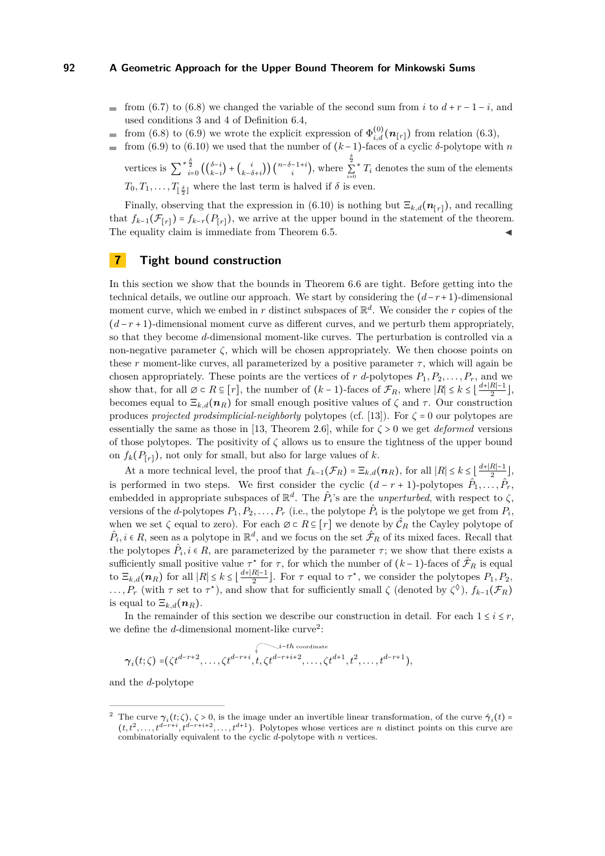- from [\(6.7\)](#page-10-1) to [\(6.8\)](#page-10-2) we changed the variable of the second sum from *i* to  $d + r 1 i$ , and used conditions 3 and 4 of Definition [6.4,](#page-9-3)
- from [\(6.8\)](#page-10-2) to [\(6.9\)](#page-10-3) we wrote the explicit expression of  $\Phi_{i,d}^{(0)}(\mathbf{n}_{[r]})$  from relation [\(6.3\)](#page-9-0), ÷
- from [\(6.9\)](#page-10-3) to [\(6.10\)](#page-10-4) we used that the number of  $(k-1)$ -faces of a cyclic  $\delta$ -polytope with *n*

vertices is  $\sum_{i=0}^{*\frac{\delta}{2}} \left( \binom{\delta-i}{k-i} + \binom{i}{k-i} \right)$  $\binom{i}{k-\delta+i}$   $\binom{n-\delta-1+i}{i}$ , where *δ* 2 ∑ ∗  $\sum_{i=0}^{k} T_i$  denotes the sum of the elements  $T_0, T_1, \ldots, T_{\lfloor \frac{\delta}{2} \rfloor}$  where the last term is halved if  $\delta$  is even.

Finally, observing that the expression in [\(6.10\)](#page-10-4) is nothing but  $\Xi_{k,d}(\mathbf{n}_{[r]})$ , and recalling that  $f_{k-1}(\mathcal{F}_{[r]}) = f_{k-r}(P_{[r]})$ , we arrive at the upper bound in the statement of the theorem. The equality claim is immediate from Theorem [6.5.](#page-9-2)

## <span id="page-11-0"></span>**7 Tight bound construction**

In this section we show that the bounds in Theorem [6.6](#page-10-5) are tight. Before getting into the technical details, we outline our approach. We start by considering the  $(d-r+1)$ -dimensional moment curve, which we embed in  $r$  distinct subspaces of  $\mathbb{R}^d$ . We consider the  $r$  copies of the  $(d-r+1)$ -dimensional moment curve as different curves, and we perturb them appropriately, so that they become *d*-dimensional moment-like curves. The perturbation is controlled via a non-negative parameter  $\zeta$ , which will be chosen appropriately. We then choose points on these *r* moment-like curves, all parameterized by a positive parameter *τ*, which will again be chosen appropriately. These points are the vertices of *r d*-polytopes  $P_1, P_2, \ldots, P_r$ , and we show that, for all  $\emptyset \subset R \subseteq [r]$ , the number of  $(k-1)$ -faces of  $\mathcal{F}_R$ , where  $|R| \leq k \leq \lfloor \frac{d+|R|-1}{2}$  $rac{R|-1}{2},$ becomes equal to  $\Xi_{k,d}(n_R)$  for small enough positive values of  $\zeta$  and  $\tau$ . Our construction produces *projected prodsimplicial-neighborly* polytopes (cf. [\[13\]](#page-14-10)). For *ζ* = 0 our polytopes are essentially the same as those in [\[13,](#page-14-10) Theorem 2.6], while for  $\zeta > 0$  we get *deformed* versions of those polytopes. The positivity of *ζ* allows us to ensure the tightness of the upper bound on  $f_k(P_{[r]})$ , not only for small, but also for large values of *k*.

At a more technical level, the proof that  $f_{k-1}(\mathcal{F}_R) = \Xi_{k,d}(n_R)$ , for all  $|R| \leq k \leq \lfloor \frac{d+|R|-1}{2}$  $\frac{n-1}{2}$ , is performed in two steps. We first consider the cyclic  $(d - r + 1)$ -polytopes  $\hat{P}_1, \ldots, \hat{P}_r$ , embedded in appropriate subspaces of  $\mathbb{R}^d$ . The  $\hat{P}_i$ 's are the *unperturbed*, with respect to  $\zeta$ , versions of the *d*-polytopes  $P_1, P_2, \ldots, P_r$  (i.e., the polytope  $\hat{P}_i$  is the polytope we get from  $P_i$ , when we set  $\zeta$  equal to zero). For each  $\emptyset \subset R \subseteq [r]$  we denote by  $\hat{\mathcal{C}}_R$  the Cayley polytope of  $\hat{P}_i, i \in R$ , seen as a polytope in  $\mathbb{R}^d$ , and we focus on the set  $\hat{\mathcal{F}}_R$  of its mixed faces. Recall that the polytopes  $\hat{P}_i, i \in R$ , are parameterized by the parameter  $\tau$ ; we show that there exists a sufficiently small positive value  $\tau^*$  for  $\tau$ , for which the number of  $(k-1)$ -faces of  $\hat{\mathcal{F}}_R$  is equal to  $\Xi_{k,d}(n_R)$  for all  $|R| \leq k \leq \lfloor \frac{d+|R|-1}{2}$  $\frac{R-1}{2}$ . For  $\tau$  equal to  $\tau^*$ , we consider the polytopes  $P_1, P_2,$  $\ldots$ ,  $P_r$  (with  $\tau$  set to  $\tau^*$ ), and show that for sufficiently small  $\zeta$  (denoted by  $\zeta^{\Diamond}$ ),  $f_{k-1}(\mathcal{F}_R)$ is equal to  $\Xi_{k,d}(n_R)$ .

In the remainder of this section we describe our construction in detail. For each  $1 \le i \le r$ , we define the  $d$ -dimensional moment-like curve<sup>[2](#page-11-1)</sup>:

$$
\gamma_i(t;\zeta) = (\zeta t^{d-r+2}, \dots, \zeta t^{d-r+i}, t, \zeta t^{d-r+i+2}, \dots, \zeta t^{d+1}, t^2, \dots, t^{d-r+1}),
$$

and the *d*-polytope

<span id="page-11-1"></span><sup>&</sup>lt;sup>2</sup> The curve  $\gamma_i(t;\zeta), \zeta > 0$ , is the image under an invertible linear transformation, of the curve  $\hat{\gamma}_i(t)$  $(t, t^2, \ldots, t^{d-r+i}, t^{d-r+i+2}, \ldots, t^{d+1})$ . Polytopes whose vertices are *n* distinct points on this curve are combinatorially equivalent to the cyclic *d*-polytope with *n* vertices.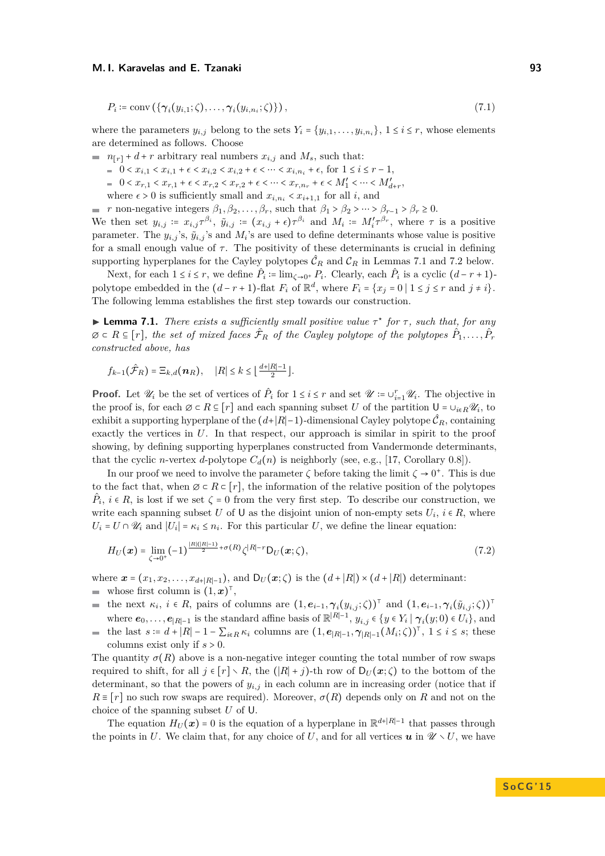<span id="page-12-2"></span>
$$
P_i \coloneqq \text{conv}\left(\{\gamma_i(y_{i,1};\zeta),\ldots,\gamma_i(y_{i,n_i};\zeta)\}\right),\tag{7.1}
$$

where the parameters  $y_{i,j}$  belong to the sets  $Y_i = \{y_{i,1}, \ldots, y_{i,n_i}\}, 1 \le i \le r$ , whose elements are determined as follows. Choose

 $n_{r}$  + *d* + *r* arbitrary real numbers  $x_{i,j}$  and  $M_s$ , such that:

- $= 0 < x_{i,1} < x_{i,1} + \epsilon < x_{i,2} < x_{i,2} + \epsilon < \cdots < x_{i,n_i} + \epsilon$ , for 1 ≤ *i* ≤ *r* − 1,
- $0 < x_{r,1} < x_{r,1} + \epsilon < x_{r,2} < x_{r,2} + \epsilon < \cdots < x_{r,n_r} + \epsilon < M'_1 < \cdots < M'_{d+r}$
- where  $\epsilon > 0$  is sufficiently small and  $x_{i,n_i} < x_{i+1,1}$  for all *i*, and

*r* non-negative integers  $\beta_1, \beta_2, \ldots, \beta_r$ , such that  $\beta_1 > \beta_2 > \cdots > \beta_{r-1} > \beta_r \ge 0$ . We then set  $y_{i,j} = x_{i,j}\tau^{\beta_i}$ ,  $\tilde{y}_{i,j} = (x_{i,j} + \epsilon)\tau^{\beta_i}$  and  $M_i := M'_i\tau^{\beta_r}$ , where  $\tau$  is a positive parameter. The  $y_{i,j}$ 's,  $\tilde{y}_{i,j}$ 's and  $M_i$ 's are used to define determinants whose value is positive for a small enough value of  $\tau$ . The positivity of these determinants is crucial in defining supporting hyperplanes for the Cayley polytopes  $\hat{\mathcal{C}}_R$  and  $\mathcal{C}_R$  in Lemmas [7.1](#page-12-0) and [7.2](#page-13-0) below.

Next, for each  $1 \le i \le r$ , we define  $\hat{P}_i := \lim_{\zeta \to 0^+} P_i$ . Clearly, each  $\hat{P}_i$  is a cyclic  $(d - r + 1)$ polytope embedded in the  $(d - r + 1)$ -flat  $F_i$  of  $\mathbb{R}^d$ , where  $F_i = \{x_j = 0 \mid 1 \le j \le r \text{ and } j \ne i\}.$ The following lemma establishes the first step towards our construction.

<span id="page-12-0"></span>**Lemma 7.1.** *There exists a sufficiently small positive value*  $\tau^*$  *for*  $\tau$ *, such that, for any*  $\emptyset \subset R \subseteq [r]$ , the set of mixed faces  $\hat{\mathcal{F}}_R$  of the Cayley polytope of the polytopes  $\hat{P}_1, \ldots, \hat{P}_r$ *constructed above, has*

$$
f_{k-1}(\hat{\mathcal{F}}_R)=\Xi_{k,d}(\boldsymbol{n}_R),\quad |R|\leq k\leq \lfloor\frac{d+|R|-1}{2}\rfloor.
$$

**Proof.** Let  $\mathcal{U}_i$  be the set of vertices of  $\hat{P}_i$  for  $1 \leq i \leq r$  and set  $\mathcal{U} := \cup_{i=1}^r \mathcal{U}_i$ . The objective in the proof is, for each  $\emptyset \subset R \subseteq [r]$  and each spanning subset *U* of the partition  $\mathsf{U} = \cup_{i \in R} \mathscr{U}_i$ , to exhibit a supporting hyperplane of the  $(d+|R|-1)$ -dimensional Cayley polytope  $\mathcal{C}_R$ , containing exactly the vertices in *U*. In that respect, our approach is similar in spirit to the proof showing, by defining supporting hyperplanes constructed from Vandermonde determinants, that the cyclic *n*-vertex *d*-polytope  $C_d(n)$  is neighborly (see, e.g., [\[17,](#page-14-17) Corollary 0.8]).

In our proof we need to involve the parameter  $\zeta$  before taking the limit  $\zeta \to 0^+$ . This is due to the fact that, when  $\emptyset \subset R \subset [r]$ , the information of the relative position of the polytopes  $\hat{P}_i$ ,  $i \in R$ , is lost if we set  $\zeta = 0$  from the very first step. To describe our construction, we write each spanning subset *U* of U as the disjoint union of non-empty sets  $U_i$ ,  $i \in R$ , where  $U_i = U \cap \mathscr{U}_i$  and  $|U_i| = \kappa_i \leq n_i$ . For this particular *U*, we define the linear equation:

<span id="page-12-1"></span>
$$
H_U(\boldsymbol{x}) = \lim_{\zeta \to 0^+} (-1)^{\frac{|R|(|R|-1)}{2} + \sigma(R)} \zeta^{|R|-r} D_U(\boldsymbol{x}; \zeta), \qquad (7.2)
$$

where  $\mathbf{x} = (x_1, x_2, \dots, x_{d+|R|-1})$ , and  $D_U(\mathbf{x}; \zeta)$  is the  $(d+|R|) \times (d+|R|)$  determinant:

whose first column is  $(1, x)^{\top}$ ,

the next  $\kappa_i$ ,  $i \in R$ , pairs of columns are  $(1, e_{i-1}, \gamma_i(y_{i,j}; \zeta))^{\top}$  and  $(1, e_{i-1}, \gamma_i(\tilde{y}_{i,j}; \zeta))^{\top}$  $\sim$ where  $e_0, \ldots, e_{|R|-1}$  is the standard affine basis of  $\mathbb{R}^{|R|-1}$ ,  $y_{i,j} \in \{y \in Y_i \mid \gamma_i(y;0) \in U_i\}$ , and

the last  $s := d + |R| - 1 - \sum_{i \in R} \kappa_i$  columns are  $(1, e_{|R|-1}, \gamma_{|R|-1}(M_i; \zeta))^{\top}$ ,  $1 \le i \le s$ ; these  $\sim$ columns exist only if *s* > 0.

The quantity  $\sigma(R)$  above is a non-negative integer counting the total number of row swaps required to shift, for all  $j \in [r] \setminus R$ , the  $(|R| + j)$ -th row of  $D_U(x;\zeta)$  to the bottom of the determinant, so that the powers of  $y_{i,j}$  in each column are in increasing order (notice that if  $R \equiv [r]$  no such row swaps are required). Moreover,  $\sigma(R)$  depends only on R and not on the choice of the spanning subset *U* of U.

The equation  $H_U(\boldsymbol{x}) = 0$  is the equation of a hyperplane in  $\mathbb{R}^{d+|R|-1}$  that passes through the points in *U*. We claim that, for any choice of *U*, and for all vertices *u* in  $\mathscr{U} \setminus U$ , we have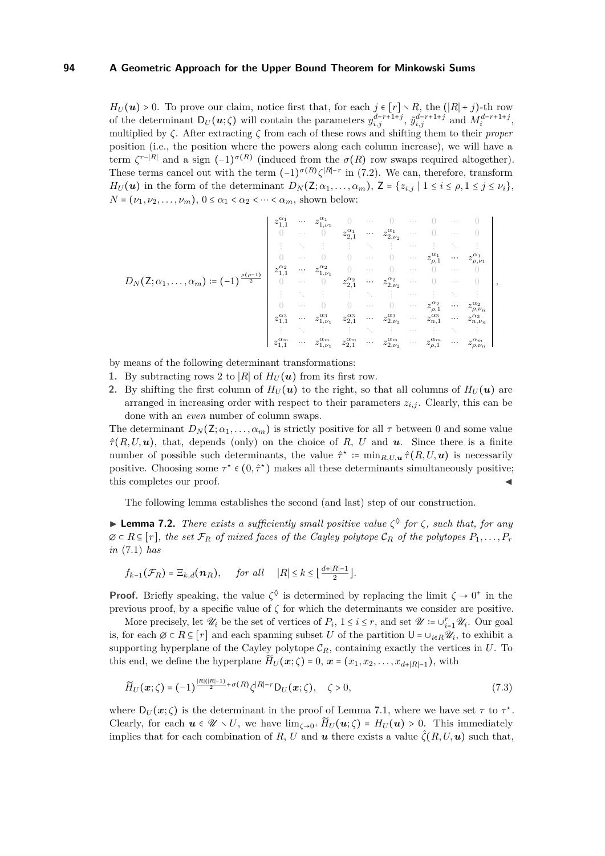$H_U(\mathbf{u}) > 0$ . To prove our claim, notice first that, for each  $j \in [r] \setminus R$ , the  $(|R| + j)$ -th row of the determinant  $D_U(\mathbf{u}; \zeta)$  will contain the parameters  $y_{i,j}^{d-r+1+j}$ ,  $\tilde{y}_{i,j}^{d-r+1+j}$  and  $M_i^{d-r+1+j}$ , multiplied by *ζ*. After extracting *ζ* from each of these rows and shifting them to their *proper* position (i.e., the position where the powers along each column increase), we will have a term  $\zeta^{r-|R|}$  and a sign  $(-1)^{\sigma(R)}$  (induced from the  $\sigma(R)$  row swaps required altogether). These terms cancel out with the term  $(-1)^{\sigma(R)} \zeta^{|R|-r}$  in [\(7.2\)](#page-12-1). We can, therefore, transform *H<sub>U</sub>* (*u*) in the form of the determinant  $D_N(Z; \alpha_1, \ldots, \alpha_m)$ ,  $Z = \{z_{i,j} | 1 \le i \le \rho, 1 \le j \le \nu_i\}$ ,  $N = (\nu_1, \nu_2, \dots, \nu_m), 0 \leq \alpha_1 < \alpha_2 < \dots < \alpha_m$ , shown below:

$$
D_N(\mathsf{Z};\alpha_1,\ldots,\alpha_m)\coloneqq(-1)^{\frac{\rho(\rho-1)}{2}}\left|\begin{array}{ccccccccc}z_{1,1}^{\alpha_1}&\cdots&z_{1,\nu_1}^{\alpha_1}&0&\cdots&0&\cdots&0&\cdots&0\\ 0&\cdots&0&z_{2,1}^{\alpha_1}&\cdots&z_{2,\nu_2}^{\alpha_1}&\cdots&0&\cdots&0\\ \vdots&\ddots&\vdots&\vdots&\ddots&\vdots&\cdots&\vdots&\ddots&\vdots\\ 0&\cdots&0&0&\cdots&0&\cdots&z_{\rho,1}^{\alpha_1}&\cdots&z_{\rho,\nu_1}^{\alpha_1}\\ z_{1,1}^{\alpha_2}&\cdots&z_{1,\nu_1}^{\alpha_1}&0&\cdots&0&\cdots&0&\cdots&0\\ \vdots&\ddots&\vdots&\vdots&\ddots&\vdots&\cdots&\vdots&\ddots&\vdots\\ 0&\cdots&0&z_{2,1}^{\alpha_2}&\cdots&z_{2,\nu_2}^{\alpha_2}&\cdots&0&\cdots&0\\ \vdots&\ddots&\vdots&\vdots&\ddots&\vdots&\cdots&\vdots&\ddots&\vdots\\ 0&\cdots&0&0&\cdots&0&\cdots&z_{\rho,1}^{\alpha_2}&\cdots&z_{\rho,n}^{\alpha_2}\\ z_{1,1}^{\alpha_3}&\cdots&z_{1,\nu_1}^{\alpha_3}&z_{2,1}^{\alpha_3}&\cdots&z_{2,\nu_2}^{\alpha_2}&\cdots&z_{\rho,1}^{\alpha_3}&\cdots&z_{\rho,\nu_n}^{\alpha_3}\\ \vdots&\ddots&\vdots&\vdots&\ddots&\vdots&\cdots&\vdots&\ddots&\vdots\\ z_{1,1}^{\alpha_1}&\cdots&z_{1,\nu_1}^{\alpha_1}&z_{2,1}^{\alpha_1}&\cdots&z_{2,\nu_2}^{\alpha_2}&\cdots&z_{\rho,1}^{\alpha_1}&\cdots&z_{\rho,\nu_n}^{\alpha_n}\end{array}\right|,
$$

by means of the following determinant transformations:

- 1. By subtracting rows 2 to |*R*| of  $H_U(u)$  from its first row.
- **2.** By shifting the first column of  $H_U(u)$  to the right, so that all columns of  $H_U(u)$  are arranged in increasing order with respect to their parameters  $z_{i,j}$ . Clearly, this can be done with an *even* number of column swaps.

The determinant  $D_N(\mathsf{Z}; \alpha_1, \ldots, \alpha_m)$  is strictly positive for all  $\tau$  between 0 and some value  $\hat{\tau}(R, U, u)$ , that, depends (only) on the choice of R, U and **u**. Since there is a finite number of possible such determinants, the value  $\hat{\tau}^* \coloneqq \min_{R,U,\bm{u}} \hat{\tau}(R,U,\bm{u})$  is necessarily positive. Choosing some  $\tau^* \in (0, \hat{\tau}^*)$  makes all these determinants simultaneously positive; this completes our proof.

The following lemma establishes the second (and last) step of our construction.

<span id="page-13-0"></span>**Example 7.2.** *There exists a sufficiently small positive value*  $\zeta^{\lozenge}$  *for*  $\zeta$ *, such that, for any*  $\emptyset$  ⊂ *R* ⊆ [*r*]*, the set*  $\mathcal{F}_R$  *of mixed faces of the Cayley polytope*  $\mathcal{C}_R$  *of the polytopes*  $P_1, \ldots, P_r$ *in* [\(7.1\)](#page-12-2) *has*

$$
f_{k-1}(\mathcal{F}_R) = \Xi_{k,d}(\boldsymbol{n}_R), \quad \text{for all} \quad |R| \leq k \leq \lfloor \frac{d+|R|-1}{2} \rfloor.
$$

**Proof.** Briefly speaking, the value  $\zeta^{\lozenge}$  is determined by replacing the limit  $\zeta \to 0^+$  in the previous proof, by a specific value of  $\zeta$  for which the determinants we consider are positive.

More precisely, let  $\mathcal{U}_i$  be the set of vertices of  $P_i$ ,  $1 \le i \le r$ , and set  $\mathcal{U} := \cup_{i=1}^r \mathcal{U}_i$ . Our goal is, for each  $\emptyset \subset R \subseteq [r]$  and each spanning subset *U* of the partition  $\mathsf{U} = \cup_{i \in R} \mathscr{U}_i$ , to exhibit a supporting hyperplane of the Cayley polytope  $C_R$ , containing exactly the vertices in  $U$ . To this end, we define the hyperplane  $\widetilde{H}_U(\boldsymbol{x}; \zeta) = 0$ ,  $\boldsymbol{x} = (x_1, x_2, \dots, x_{d+|R|-1})$ , with

$$
\widetilde{H}_U(\boldsymbol{x};\zeta) = (-1)^{\frac{|R|(|R|-1)}{2} + \sigma(R)} \zeta^{|R|-r} D_U(\boldsymbol{x};\zeta), \quad \zeta > 0,
$$
\n(7.3)

where  $D_U(\boldsymbol{x}; \zeta)$  is the determinant in the proof of Lemma [7.1,](#page-12-0) where we have set  $\tau$  to  $\tau^*$ . Clearly, for each  $u \in \mathcal{U} \setminus U$ , we have  $\lim_{\zeta \to 0^+} \widetilde{H}_U(u;\zeta) = H_U(u) > 0$ . This immediately implies that for each combination of *R*, *U* and *u* there exists a value  $\hat{\zeta}(R, U, u)$  such that,